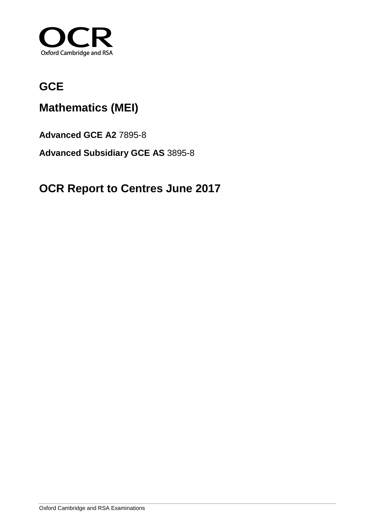

## **GCE**

## **Mathematics (MEI)**

**Advanced GCE A2** 7895-8

**Advanced Subsidiary GCE AS** 3895-8

## **OCR Report to Centres June 2017**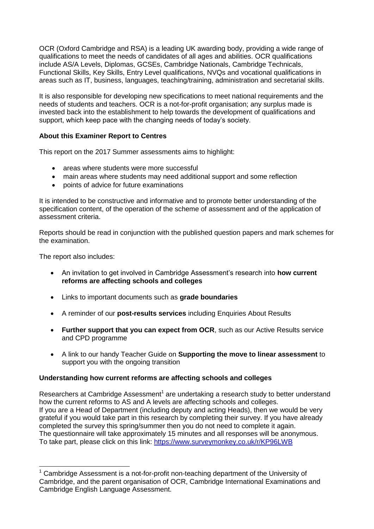OCR (Oxford Cambridge and RSA) is a leading UK awarding body, providing a wide range of qualifications to meet the needs of candidates of all ages and abilities. OCR qualifications include AS/A Levels, Diplomas, GCSEs, Cambridge Nationals, Cambridge Technicals, Functional Skills, Key Skills, Entry Level qualifications, NVQs and vocational qualifications in areas such as IT, business, languages, teaching/training, administration and secretarial skills.

It is also responsible for developing new specifications to meet national requirements and the needs of students and teachers. OCR is a not-for-profit organisation; any surplus made is invested back into the establishment to help towards the development of qualifications and support, which keep pace with the changing needs of today's society.

#### **About this Examiner Report to Centres**

This report on the 2017 Summer assessments aims to highlight:

- areas where students were more successful
- main areas where students may need additional support and some reflection
- points of advice for future examinations

It is intended to be constructive and informative and to promote better understanding of the specification content, of the operation of the scheme of assessment and of the application of assessment criteria.

Reports should be read in conjunction with the published question papers and mark schemes for the examination.

The report also includes:

- An invitation to get involved in Cambridge Assessment's research into **how current reforms are affecting schools and colleges**
- Links to important documents such as **grade boundaries**
- A reminder of our **post-results services** including Enquiries About Results
- **Further support that you can expect from OCR**, such as our Active Results service and CPD programme
- A link to our handy Teacher Guide on **Supporting the move to linear assessment** to support you with the ongoing transition

#### **Understanding how current reforms are affecting schools and colleges**

Researchers at Cambridge Assessment<sup>1</sup> are undertaking a research study to better understand how the current reforms to AS and A levels are affecting schools and colleges. If you are a Head of Department (including deputy and acting Heads), then we would be very grateful if you would take part in this research by completing their survey. If you have already completed the survey this spring/summer then you do not need to complete it again. The questionnaire will take approximately 15 minutes and all responses will be anonymous. To take part, please click on this link: https://www.surveymonkey.co.uk/r/KP96LWB

 $\overline{a}$  $1$  Cambridge Assessment is a not-for-profit non-teaching department of the University of Cambridge, and the parent organisation of OCR, Cambridge International Examinations and Cambridge English Language Assessment.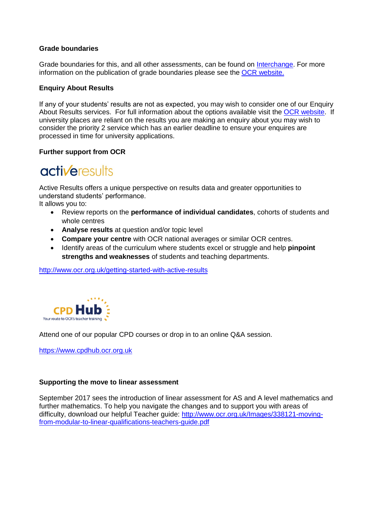#### **Grade boundaries**

Grade boundaries for this, and all other assessments, can be found on [Interchange.](https://interchange.ocr.org.uk/AuthenticationComponent/Authenticate.aspx?version=1.0&consumerUrl=https://interchange.ocr.org.uk/SingleSignOn/Authenticate.aspx?t=%7BToken%7D%26a=%7BAuthentication%7D%26ReturnUrl=%252f) For more information on the publication of grade boundaries please see the [OCR website.](http://www.ocr.org.uk/administration/stage-4-results/grade-boundaries/)

#### **Enquiry About Results**

If any of your students' results are not as expected, you may wish to consider one of our Enquiry About Results services. For full information about the options available visit the [OCR website.](http://ocr.org.uk/administration/stage-5-post-results-services/enquiries-about-results/) If university places are reliant on the results you are making an enquiry about you may wish to consider the priority 2 service which has an earlier deadline to ensure your enquires are processed in time for university applications.

#### **Further support from OCR**

# **activeresults**

Active Results offers a unique perspective on results data and greater opportunities to understand students' performance.

It allows you to:

- Review reports on the **performance of individual candidates**, cohorts of students and whole centres
- **Analyse results** at question and/or topic level
- **Compare your centre** with OCR national averages or similar OCR centres.
- Identify areas of the curriculum where students excel or struggle and help **pinpoint strengths and weaknesses** of students and teaching departments.

<http://www.ocr.org.uk/getting-started-with-active-results>



Attend one of our popular CPD courses or drop in to an online Q&A session.

[https://www.cpdhub.ocr.org.uk](https://www.cpdhub.ocr.org.uk/)

#### **Supporting the move to linear assessment**

September 2017 sees the introduction of linear assessment for AS and A level mathematics and further mathematics. To help you navigate the changes and to support you with areas of difficulty, download our helpful Teacher guide: [http://www.ocr.org.uk/Images/338121-moving](http://www.ocr.org.uk/Images/338121-moving-from-modular-to-linear-qualifications-teachers-guide.pdf)[from-modular-to-linear-qualifications-teachers-guide.pdf](http://www.ocr.org.uk/Images/338121-moving-from-modular-to-linear-qualifications-teachers-guide.pdf)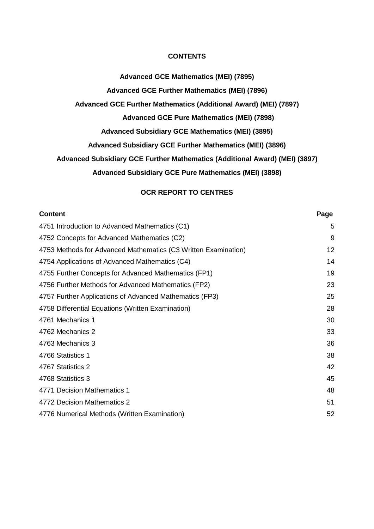#### **CONTENTS**

**Advanced GCE Mathematics (MEI) (7895)**

**Advanced GCE Further Mathematics (MEI) (7896)**

**Advanced GCE Further Mathematics (Additional Award) (MEI) (7897)**

**Advanced GCE Pure Mathematics (MEI) (7898)**

**Advanced Subsidiary GCE Mathematics (MEI) (3895)**

**Advanced Subsidiary GCE Further Mathematics (MEI) (3896)**

**Advanced Subsidiary GCE Further Mathematics (Additional Award) (MEI) (3897)**

**Advanced Subsidiary GCE Pure Mathematics (MEI) (3898)**

## **OCR REPORT TO CENTRES**

| <b>Content</b>                                                 | Page |
|----------------------------------------------------------------|------|
| 4751 Introduction to Advanced Mathematics (C1)                 | 5    |
| 4752 Concepts for Advanced Mathematics (C2)                    | 9    |
| 4753 Methods for Advanced Mathematics (C3 Written Examination) | 12   |
| 4754 Applications of Advanced Mathematics (C4)                 | 14   |
| 4755 Further Concepts for Advanced Mathematics (FP1)           | 19   |
| 4756 Further Methods for Advanced Mathematics (FP2)            | 23   |
| 4757 Further Applications of Advanced Mathematics (FP3)        | 25   |
| 4758 Differential Equations (Written Examination)              | 28   |
| 4761 Mechanics 1                                               | 30   |
| 4762 Mechanics 2                                               | 33   |
| 4763 Mechanics 3                                               | 36   |
| 4766 Statistics 1                                              | 38   |
| 4767 Statistics 2                                              | 42   |
| 4768 Statistics 3                                              | 45   |
| 4771 Decision Mathematics 1                                    | 48   |
| 4772 Decision Mathematics 2                                    | 51   |
| 4776 Numerical Methods (Written Examination)                   | 52   |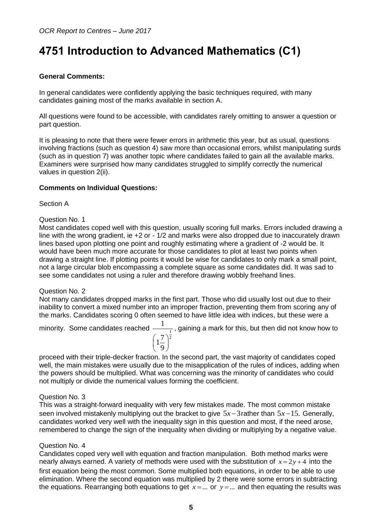## <span id="page-4-0"></span>**4751 Introduction to Advanced Mathematics (C1)**

## **General Comments:**

In general candidates were confidently applying the basic techniques required, with many candidates gaining most of the marks available in section A.

All questions were found to be accessible, with candidates rarely omitting to answer a question or part question.

It is pleasing to note that there were fewer errors in arithmetic this year, but as usual, questions involving fractions (such as question 4) saw more than occasional errors, whilst manipulating surds (such as in question 7) was another topic where candidates failed to gain all the available marks. Examiners were surprised how many candidates struggled to simplify correctly the numerical values in question 2(ii).

#### **Comments on Individual Questions:**

Section A

#### Question No. 1

Most candidates coped well with this question, usually scoring full marks. Errors included drawing a line with the wrong gradient, ie +2 or - 1/2 and marks were also dropped due to inaccurately drawn lines based upon plotting one point and roughly estimating where a gradient of -2 would be. It would have been much more accurate for those candidates to plot at least two points when drawing a straight line. If plotting points it would be wise for candidates to only mark a small point, not a large circular blob encompassing a complete square as some candidates did. It was sad to see some candidates not using a ruler and therefore drawing wobbly freehand lines.

#### Question No. 2

Not many candidates dropped marks in the first part. Those who did usually lost out due to their inability to convert a mixed number into an improper fraction, preventing them from scoring any of the marks. Candidates scoring 0 often seemed to have little idea with indices, but these were a

minority. Some candidates reached  $\frac{1}{\sqrt{1-\frac{1}{n}}}$ 2 1  $1\frac{7}{9}$  $\left(1\frac{7}{9}\right)$ , gaining a mark for this, but then did not know how to

proceed with their triple-decker fraction. In the second part, the vast majority of candidates coped well, the main mistakes were usually due to the misapplication of the rules of indices, adding when the powers should be multiplied. What was concerning was the minority of candidates who could not multiply or divide the numerical values forming the coefficient.

#### Question No. 3

This was a straight-forward inequality with very few mistakes made. The most common mistake seen involved mistakenly multiplying out the bracket to give  $5x-3$  rather than  $5x-15$ . Generally, candidates worked very well with the inequality sign in this question and most, if the need arose, remembered to change the sign of the inequality when dividing or multiplying by a negative value.

#### Question No. 4

Candidates coped very well with equation and fraction manipulation. Both method marks were nearly always earned. A variety of methods were used with the substitution of  $x = 2y + 4$  into the first equation being the most common. Some multiplied both equations, in order to be able to use elimination. Where the second equation was multiplied by 2 there were some errors in subtracting the equations. Rearranging both equations to get  $x = ...$  or  $y = ...$  and then equating the results was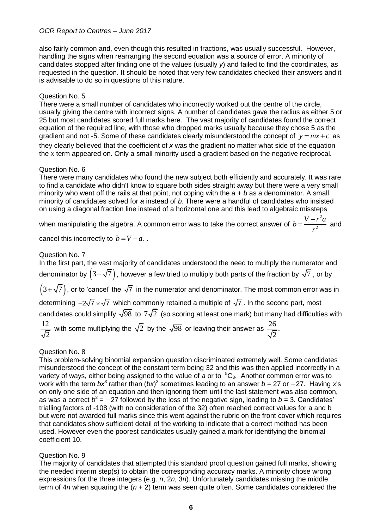also fairly common and, even though this resulted in fractions, was usually successful. However, handling the signs when rearranging the second equation was a source of error. A minority of candidates stopped after finding one of the values (usually *y*) and failed to find the coordinates, as requested in the question. It should be noted that very few candidates checked their answers and it is advisable to do so in questions of this nature.

#### Question No. 5

There were a small number of candidates who incorrectly worked out the centre of the circle, usually giving the centre with incorrect signs. A number of candidates gave the radius as either 5 or 25 but most candidates scored full marks here. The vast majority of candidates found the correct equation of the required line, with those who dropped marks usually because they chose 5 as the gradient and not -5. Some of these candidates clearly misunderstood the concept of  $y = mx + c$  as they clearly believed that the coefficient of *x* was the gradient no matter what side of the equation the *x* term appeared on. Only a small minority used a gradient based on the negative reciprocal.

#### Question No. 6

There were many candidates who found the new subject both efficiently and accurately. It was rare to find a candidate who didn't know to square both sides straight away but there were a very small minority who went off the rails at that point, not coping with the *a + b* as a denominator. A small minority of candidates solved for *a* instead of *b*. There were a handful of candidates who insisted on using a diagonal fraction line instead of a horizontal one and this lead to algebraic missteps

when manipulating the algebra. A common error was to take the correct answer of 2  $b = \frac{V - r^2 a}{r^2}$ *r*  $=\frac{V-r^2a}{2}$  and

cancel this incorrectly to  $b = V - a$ .

#### Question No. 7

In the first part, the vast majority of candidates understood the need to multiply the numerator and denominator by  $\left(3-\sqrt{7}\,\right)$ , however a few tried to multiply both parts of the fraction by  $\sqrt{7}$  , or by  $\left(3\!+\!\sqrt{7}\,\right)$ , or to 'cancel' the  $\sqrt{7}\,$  in the numerator and denominator. The most common error was in determining  $-2\sqrt{7} \times \sqrt{7}$  which commonly retained a multiple of  $\sqrt{7}$  . In the second part, most candidates could simplify  $\sqrt{98}$  to  $7\sqrt{2}$  (so scoring at least one mark) but many had difficulties with 12 2 with some multiplying the  $\sqrt{2}$  by the  $\sqrt{98}$  or leaving their answer as  $\frac{26}{\sqrt{2}}$ . 2

#### Question No. 8

This problem-solving binomial expansion question discriminated extremely well. Some candidates misunderstood the concept of the constant term being 32 and this was then applied incorrectly in a variety of ways, either being assigned to the value of *a* or to <sup>5</sup>C<sub>3</sub>. Another common error was to work with the term *bx*<sup>3</sup> rather than (*bx*)<sup>3</sup> sometimes leading to an answer *b* = 27 or −27. Having *x*'s on only one side of an equation and then ignoring them until the last statement was also common, as was a correct  $b^3 = -27$  followed by the loss of the negative sign, leading to  $b$  = 3. Candidates' trialling factors of -108 (with no consideration of the 32) often reached correct values for a and b but were not awarded full marks since this went against the rubric on the front cover which requires that candidates show sufficient detail of the working to indicate that a correct method has been used. However even the poorest candidates usually gained a mark for identifying the binomial coefficient 10.

#### Question No. 9

The majority of candidates that attempted this standard proof question gained full marks, showing the needed interim step(s) to obtain the corresponding accuracy marks. A minority chose wrong expressions for the three integers (e.g. *n*, 2*n*, 3*n*). Unfortunately candidates missing the middle term of 4*n* when squaring the (*n* + 2) term was seen quite often. Some candidates considered the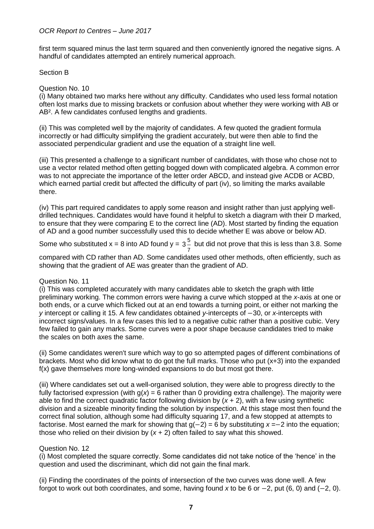first term squared minus the last term squared and then conveniently ignored the negative signs. A handful of candidates attempted an entirely numerical approach.

#### Section B

#### Question No. 10

(i) Many obtained two marks here without any difficulty. Candidates who used less formal notation often lost marks due to missing brackets or confusion about whether they were working with AB or AB². A few candidates confused lengths and gradients.

(ii) This was completed well by the majority of candidates. A few quoted the gradient formula incorrectly or had difficulty simplifying the gradient accurately, but were then able to find the associated perpendicular gradient and use the equation of a straight line well.

(iii) This presented a challenge to a significant number of candidates, with those who chose not to use a vector related method often getting bogged down with complicated algebra. A common error was to not appreciate the importance of the letter order ABCD, and instead give ACDB or ACBD, which earned partial credit but affected the difficulty of part (iv), so limiting the marks available there.

(iv) This part required candidates to apply some reason and insight rather than just applying welldrilled techniques. Candidates would have found it helpful to sketch a diagram with their D marked, to ensure that they were comparing E to the correct line (AD). Most started by finding the equation of AD and a good number successfully used this to decide whether E was above or below AD.

Some who substituted  $x = 8$  into AD found  $y = 3\frac{5}{3}$ 7 3 but did not prove that this is less than 3.8. Some

compared with CD rather than AD. Some candidates used other methods, often efficiently, such as showing that the gradient of AE was greater than the gradient of AD.

#### Question No. 11

(i) This was completed accurately with many candidates able to sketch the graph with little preliminary working. The common errors were having a curve which stopped at the *x*-axis at one or both ends, or a curve which flicked out at an end towards a turning point, or either not marking the *y* intercept or calling it 15. A few candidates obtained *y*-intercepts of −30, or *x*-intercepts with incorrect signs/values. In a few cases this led to a negative cubic rather than a positive cubic. Very few failed to gain any marks. Some curves were a poor shape because candidates tried to make the scales on both axes the same.

(ii) Some candidates weren't sure which way to go so attempted pages of different combinations of brackets. Most who did know what to do got the full marks. Those who put (x+3) into the expanded f(x) gave themselves more long-winded expansions to do but most got there.

(iii) Where candidates set out a well-organised solution, they were able to progress directly to the fully factorised expression (with g(*x*) = 6 rather than 0 providing extra challenge). The majority were able to find the correct quadratic factor following division by (*x* + 2), with a few using synthetic division and a sizeable minority finding the solution by inspection. At this stage most then found the correct final solution, although some had difficulty squaring 17, and a few stopped at attempts to factorise. Most earned the mark for showing that g(−2) = 6 by substituting *x* =−2 into the equation; those who relied on their division by  $(x + 2)$  often failed to say what this showed.

#### Question No. 12

(i) Most completed the square correctly. Some candidates did not take notice of the 'hence' in the question and used the discriminant, which did not gain the final mark.

(ii) Finding the coordinates of the points of intersection of the two curves was done well. A few forgot to work out both coordinates, and some, having found *x* to be 6 or −2, put (6, 0) and (−2, 0).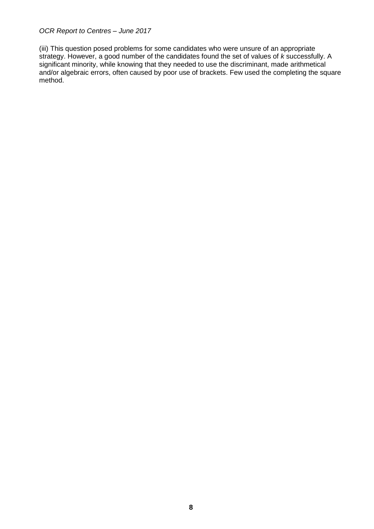(iii) This question posed problems for some candidates who were unsure of an appropriate strategy. However, a good number of the candidates found the set of values of *k* successfully. A significant minority, while knowing that they needed to use the discriminant, made arithmetical and/or algebraic errors, often caused by poor use of brackets. Few used the completing the square method.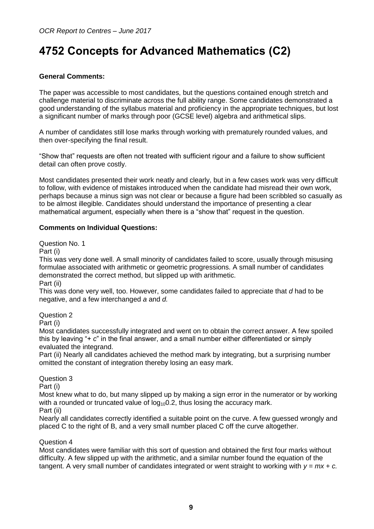## <span id="page-8-0"></span>**4752 Concepts for Advanced Mathematics (C2)**

## **General Comments:**

The paper was accessible to most candidates, but the questions contained enough stretch and challenge material to discriminate across the full ability range. Some candidates demonstrated a good understanding of the syllabus material and proficiency in the appropriate techniques, but lost a significant number of marks through poor (GCSE level) algebra and arithmetical slips.

A number of candidates still lose marks through working with prematurely rounded values, and then over-specifying the final result.

"Show that" requests are often not treated with sufficient rigour and a failure to show sufficient detail can often prove costly.

Most candidates presented their work neatly and clearly, but in a few cases work was very difficult to follow, with evidence of mistakes introduced when the candidate had misread their own work, perhaps because a minus sign was not clear or because a figure had been scribbled so casually as to be almost illegible. Candidates should understand the importance of presenting a clear mathematical argument, especially when there is a "show that" request in the question.

#### **Comments on Individual Questions:**

Question No. 1

Part (i)

This was very done well. A small minority of candidates failed to score, usually through misusing formulae associated with arithmetic or geometric progressions. A small number of candidates demonstrated the correct method, but slipped up with arithmetic.

Part (ii)

This was done very well, too. However, some candidates failed to appreciate that *d* had to be negative, and a few interchanged *a* and *d.*

Question 2

Part (i)

Most candidates successfully integrated and went on to obtain the correct answer. A few spoiled this by leaving "+ *c*" in the final answer, and a small number either differentiated or simply evaluated the integrand.

Part (ii) Nearly all candidates achieved the method mark by integrating, but a surprising number omitted the constant of integration thereby losing an easy mark.

Question 3

Part (i)

Most knew what to do, but many slipped up by making a sign error in the numerator or by working with a rounded or truncated value of  $log_{10}0.2$ , thus losing the accuracy mark. Part (ii)

Nearly all candidates correctly identified a suitable point on the curve. A few guessed wrongly and placed C to the right of B, and a very small number placed C off the curve altogether.

#### Question 4

Most candidates were familiar with this sort of question and obtained the first four marks without difficulty. A few slipped up with the arithmetic, and a similar number found the equation of the tangent. A very small number of candidates integrated or went straight to working with  $y = mx + c$ .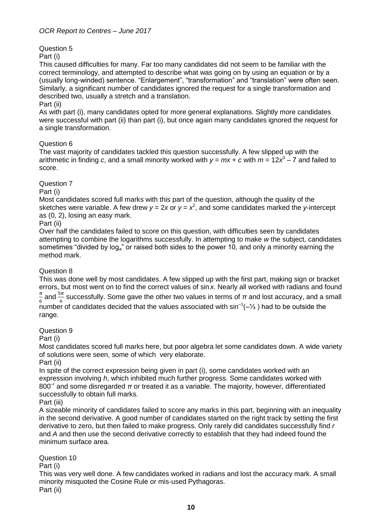Question 5

Part (i)

This caused difficulties for many. Far too many candidates did not seem to be familiar with the correct terminology, and attempted to describe what was going on by using an equation or by a (usually long-winded) sentence. "Enlargement", "transformation" and "translation" were often seen. Similarly, a significant number of candidates ignored the request for a single transformation and described two, usually a stretch and a translation.

#### Part (ii)

As with part (i), many candidates opted for more general explanations. Slightly more candidates were successful with part (ii) than part (i), but once again many candidates ignored the request for a single transformation.

#### Question 6

The vast majority of candidates tackled this question successfully. A few slipped up with the arithmetic in finding *c*, and a small minority worked with *y* = *mx* + *c* with *m* = 12*x* 3 ‒ 7 and failed to score.

#### Question 7

Part (i)

Most candidates scored full marks with this part of the question, although the quality of the sketches were variable. A few drew  $y = 2x$  or  $y = x^2$ , and some candidates marked the y-intercept as (0, 2), losing an easy mark.

#### Part (ii)

Over half the candidates failed to score on this question, with difficulties seen by candidates attempting to combine the logarithms successfully. In attempting to make *w* the subject, candidates sometimes "divided by log*a*" or raised both sides to the power 10, and only a minority earning the method mark.

#### Question 8

This was done well by most candidates. A few slipped up with the first part, making sign or bracket errors, but most went on to find the correct values of sin *x*. Nearly all worked with radians and found  $\pi$  $\frac{\pi}{6}$  and  $\frac{5\pi}{6}$  successfully. Some gave the other two values in terms of  $\pi$  and lost accuracy, and a small number of candidates decided that the values associated with  $sin^{-1}(-\frac{1}{3})$  had to be outside the range.

#### Question 9

Part (i)

Most candidates scored full marks here, but poor algebra let some candidates down. A wide variety of solutions were seen, some of which very elaborate.

Part (ii)

In spite of the correct expression being given in part (i), some candidates worked with an expression involving *h*, which inhibited much further progress. Some candidates worked with 800<sup>-r</sup> and some disregarded π or treated it as a variable. The majority, however, differentiated successfully to obtain full marks.

Part (iii)

A sizeable minority of candidates failed to score any marks in this part, beginning with an inequality in the second derivative. A good number of candidates started on the right track by setting the first derivative to zero, but then failed to make progress. Only rarely did candidates successfully find *r* and *A* and then use the second derivative correctly to establish that they had indeed found the minimum surface area.

Question 10

Part (i)

This was very well done. A few candidates worked in radians and lost the accuracy mark. A small minority misquoted the Cosine Rule or mis-used Pythagoras. Part (ii)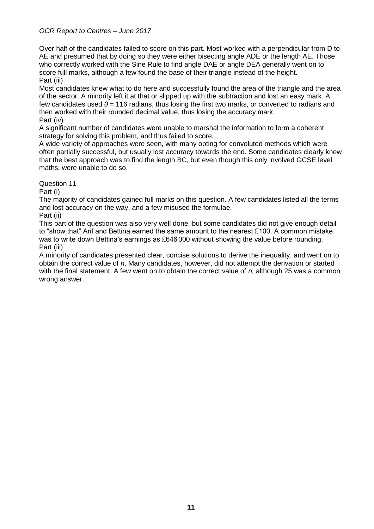Over half of the candidates failed to score on this part. Most worked with a perpendicular from D to AE and presumed that by doing so they were either bisecting angle ADE or the length AE. Those who correctly worked with the Sine Rule to find angle DAE or angle DEA generally went on to score full marks, although a few found the base of their triangle instead of the height. Part (iii)

Most candidates knew what to do here and successfully found the area of the triangle and the area of the sector. A minority left it at that or slipped up with the subtraction and lost an easy mark. A few candidates used *θ* = 116 radians, thus losing the first two marks, or converted to radians and then worked with their rounded decimal value, thus losing the accuracy mark. Part (iv)

A significant number of candidates were unable to marshal the information to form a coherent strategy for solving this problem, and thus failed to score.

A wide variety of approaches were seen, with many opting for convoluted methods which were often partially successful, but usually lost accuracy towards the end. Some candidates clearly knew that the best approach was to find the length BC, but even though this only involved GCSE level maths, were unable to do so.

Question 11

Part (i)

The majority of candidates gained full marks on this question. A few candidates listed all the terms and lost accuracy on the way, and a few misused the formulae.

Part (ii)

This part of the question was also very well done, but some candidates did not give enough detail to "show that" Arif and Bettina earned the same amount to the nearest £100. A common mistake was to write down Bettina's earnings as £646 000 without showing the value before rounding. Part (iii)

A minority of candidates presented clear, concise solutions to derive the inequality, and went on to obtain the correct value of *n*. Many candidates, however, did not attempt the derivation or started with the final statement. A few went on to obtain the correct value of *n,* although 25 was a common wrong answer.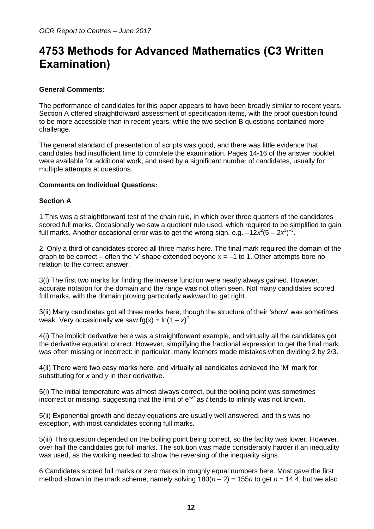## <span id="page-11-0"></span>**4753 Methods for Advanced Mathematics (C3 Written Examination)**

### **General Comments:**

The performance of candidates for this paper appears to have been broadly similar to recent years. Section A offered straightforward assessment of specification items, with the proof question found to be more accessible than in recent years, while the two section B questions contained more challenge.

The general standard of presentation of scripts was good, and there was little evidence that candidates had insufficient time to complete the examination. Pages 14-16 of the answer booklet were available for additional work, and used by a significant number of candidates, usually for multiple attempts at questions.

#### **Comments on Individual Questions:**

#### **Section A**

1 This was a straightforward test of the chain rule, in which over three quarters of the candidates scored full marks. Occasionally we saw a quotient rule used, which required to be simplified to gain full marks. Another occasional error was to get the wrong sign, e.g. –12x<sup>2</sup>(5 – 2x<sup>3</sup>)<sup>-3</sup>.

2. Only a third of candidates scored all three marks here. The final mark required the domain of the graph to be correct – often the 'v' shape extended beyond  $x = -1$  to 1. Other attempts bore no relation to the correct answer.

3(i) The first two marks for finding the inverse function were nearly always gained. However, accurate notation for the domain and the range was not often seen. Not many candidates scored full marks, with the domain proving particularly awkward to get right.

3(ii) Many candidates got all three marks here, though the structure of their 'show' was sometimes weak. Very occasionally we saw fg(x) =  $ln(1 - x)^2$ .

4(i) The implicit derivative here was a straightforward example, and virtually all the candidates got the derivative equation correct. However, simplifying the fractional expression to get the final mark was often missing or incorrect: in particular, many learners made mistakes when dividing 2 by 2/3.

4(ii) There were two easy marks here, and virtually all candidates achieved the 'M' mark for substituting for *x* and *y* in their derivative.

5(i) The initial temperature was almost always correct, but the boiling point was sometimes incorrect or missing, suggesting that the limit of e–*kt* as *t* tends to infinity was not known.

5(ii) Exponential growth and decay equations are usually well answered, and this was no exception, with most candidates scoring full marks.

5(iii) This question depended on the boiling point being correct, so the facility was lower. However, over half the candidates got full marks. The solution was made considerably harder if an inequality was used, as the working needed to show the reversing of the inequality signs.

6 Candidates scored full marks or zero marks in roughly equal numbers here. Most gave the first method shown in the mark scheme, namely solving  $180(n-2) = 155n$  to get  $n = 14.4$ , but we also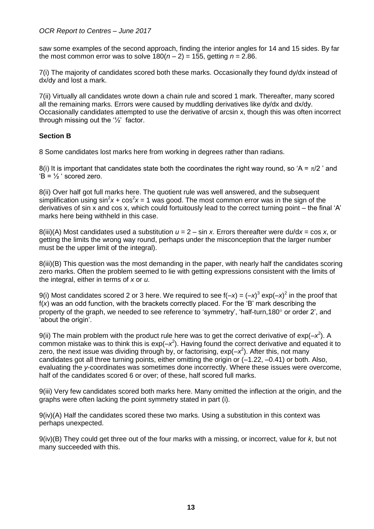saw some examples of the second approach, finding the interior angles for 14 and 15 sides. By far the most common error was to solve  $180(n-2) = 155$ , getting  $n = 2.86$ .

7(i) The majority of candidates scored both these marks. Occasionally they found dy/dx instead of dx/dy and lost a mark.

7(ii) Virtually all candidates wrote down a chain rule and scored 1 mark. Thereafter, many scored all the remaining marks. Errors were caused by muddling derivatives like dy/dx and dx/dy. Occasionally candidates attempted to use the derivative of arcsin x, though this was often incorrect through missing out the '½' factor.

#### **Section B**

8 Some candidates lost marks here from working in degrees rather than radians.

8(i) It is important that candidates state both the coordinates the right way round, so 'A =  $\pi$ /2 ' and  $B = \frac{1}{2}$  scored zero.

8(ii) Over half got full marks here. The quotient rule was well answered, and the subsequent simplification using  $\sin^2 x + \cos^2 x = 1$  was good. The most common error was in the sign of the derivatives of sin x and cos x, which could fortuitously lead to the correct turning point – the final 'A' marks here being withheld in this case.

8(iii)(A) Most candidates used a substitution  $u = 2 - \sin x$ . Errors thereafter were  $du/dx = \cos x$ , or getting the limits the wrong way round, perhaps under the misconception that the larger number must be the upper limit of the integral).

8(iii)(B) This question was the most demanding in the paper, with nearly half the candidates scoring zero marks. Often the problem seemed to lie with getting expressions consistent with the limits of the integral, either in terms of *x* or *u*.

9(i) Most candidates scored 2 or 3 here. We required to see  $f(-x) = (-x)^3 \exp(-x)^2$  in the proof that f(*x*) was an odd function, with the brackets correctly placed. For the 'B' mark describing the property of the graph, we needed to see reference to 'symmetry', 'half-turn,180° or order 2', and 'about the origin'.

9(ii) The main problem with the product rule here was to get the correct derivative of  $\exp(-x^2)$ . A common mistake was to think this is  $exp(-x^2)$ . Having found the correct derivative and equated it to zero, the next issue was dividing through by, or factorising,  $exp(-x^2)$ . After this, not many candidates got all three turning points, either omitting the origin or (–1.22, –0.41) or both. Also, evaluating the *y*-coordinates was sometimes done incorrectly. Where these issues were overcome, half of the candidates scored 6 or over; of these, half scored full marks.

9(iii) Very few candidates scored both marks here. Many omitted the inflection at the origin, and the graphs were often lacking the point symmetry stated in part (i).

9(iv)(A) Half the candidates scored these two marks. Using a substitution in this context was perhaps unexpected.

9(iv)(B) They could get three out of the four marks with a missing, or incorrect, value for *k*, but not many succeeded with this.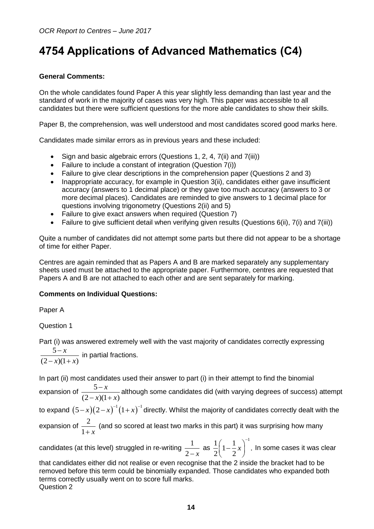## <span id="page-13-0"></span>**4754 Applications of Advanced Mathematics (C4)**

## **General Comments:**

On the whole candidates found Paper A this year slightly less demanding than last year and the standard of work in the majority of cases was very high. This paper was accessible to all candidates but there were sufficient questions for the more able candidates to show their skills.

Paper B, the comprehension, was well understood and most candidates scored good marks here.

Candidates made similar errors as in previous years and these included:

- Sign and basic algebraic errors (Questions 1, 2, 4, 7(ii) and 7(iii))
- Failure to include a constant of integration (Question 7(i))
- Failure to give clear descriptions in the comprehension paper (Questions 2 and 3)
- Inappropriate accuracy, for example in Question 3(ii), candidates either gave insufficient accuracy (answers to 1 decimal place) or they gave too much accuracy (answers to 3 or more decimal places). Candidates are reminded to give answers to 1 decimal place for questions involving trigonometry (Questions 2(ii) and 5)
- Failure to give exact answers when required (Question 7)
- Failure to give sufficient detail when verifying given results (Questions 6(ii), 7(i) and 7(iii))

Quite a number of candidates did not attempt some parts but there did not appear to be a shortage of time for either Paper.

Centres are again reminded that as Papers A and B are marked separately any supplementary sheets used must be attached to the appropriate paper. Furthermore, centres are requested that Papers A and B are not attached to each other and are sent separately for marking.

## **Comments on Individual Questions:**

Paper A

Question 1

Part (i) was answered extremely well with the vast majority of candidates correctly expressing 5  $(2 - x)(1 + x)$ *x*  $x)(1+x)$  $\overline{a}$  $(x)(1 + 3)$ in partial fractions.

In part (ii) most candidates used their answer to part (i) in their attempt to find the binomial

expansion of  $\frac{5}{\sqrt{2}}$  $(2 - x)(1 + x)$ *x*  $x)(1+x)$  $\overline{a}$  $(x)(1 + 3)$ although some candidates did (with varying degrees of success) attempt to expand  $(5-x)(2-x)^{-1}(1+x)^{-1}$  directly. Whilst the majority of candidates correctly dealt with the expansion of  $\frac{2}{3}$  $1 + x$ (and so scored at least two marks in this part) it was surprising how many candidates (at this level) struggled in re-writing  $\frac{1}{\sqrt{2}}$ as  $\frac{1}{2} \left( 1 - \frac{1}{2} x \right)^{-1}$ . *x*  $\left(1-\frac{1}{2}x\right)^{-1}$ In some cases it was clear

 $2 - x$  $2\begin{pmatrix} 2 \end{pmatrix}$ that candidates either did not realise or even recognise that the 2 inside the bracket had to be removed before this term could be binomially expanded. Those candidates who expanded both terms correctly usually went on to score full marks.

Question 2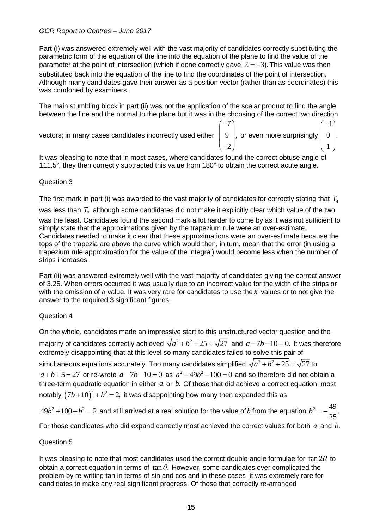Part (i) was answered extremely well with the vast majority of candidates correctly substituting the parametric form of the equation of the line into the equation of the plane to find the value of the parameter at the point of intersection (which if done correctly gave  $\lambda = -3$ ). This value was then substituted back into the equation of the line to find the coordinates of the point of intersection. Although many candidates gave their answer as a position vector (rather than as coordinates) this was condoned by examiners.

The main stumbling block in part (ii) was not the application of the scalar product to find the angle between the line and the normal to the plane but it was in the choosing of the correct two direction

vectors; in many cases candidates incorrectly used either

$$
\begin{pmatrix} -7 \\ 9 \\ -2 \end{pmatrix}
$$
, or even more surprisingly 
$$
\begin{pmatrix} -1 \\ 0 \\ 1 \end{pmatrix}
$$
.

It was pleasing to note that in most cases, where candidates found the correct obtuse angle of 111.5°, they then correctly subtracted this value from 180° to obtain the correct acute angle.

#### Question 3

The first mark in part (i) was awarded to the vast majority of candidates for correctly stating that  $\,_{\rm 4}$ 

was less than  $\, T_{_2} \,$  although some candidates did not make it explicitly clear which value of the two was the least. Candidates found the second mark a lot harder to come by as it was not sufficient to simply state that the approximations given by the trapezium rule were an over-estimate. Candidates needed to make it clear that these approximations were an over-estimate because the tops of the trapezia are above the curve which would then, in turn, mean that the error (in using a trapezium rule approximation for the value of the integral) would become less when the number of strips increases.

Part (ii) was answered extremely well with the vast majority of candidates giving the correct answer of 3.25. When errors occurred it was usually due to an incorrect value for the width of the strips or with the omission of a value. It was very rare for candidates to use the *x* values or to not give the answer to the required 3 significant figures.

## Question 4

On the whole, candidates made an impressive start to this unstructured vector question and the majority of candidates correctly achieved  $\sqrt{a^2+b^2+25} = \sqrt{27}$  and  $a-7b-10=0$ . It was therefore extremely disappointing that at this level so many candidates failed to solve this pair of simultaneous equations accurately. Too many candidates simplified  $\sqrt{a^2+b^2+25}=\sqrt{27}$  to  $a+b+5=27$  or re-wrote  $a-7b-10=0$  as  $a^2-49b^2-100=0$  and so therefore did not obtain a three-term quadratic equation in either  $a$  or  $b$ . Of those that did achieve a correct equation, most notably  $(7b+10)^2 + b^2 = 2$ , it was disappointing how many then expanded this as

 $49b^2+100+b^2=2$  and still arrived at a real solution for the value of b from the equation  $b^2=-\frac{49}{25}$ . 25  $b^2 = -$ 

For those candidates who did expand correctly most achieved the correct values for both  $a$  and  $b$ .

## Question 5

It was pleasing to note that most candidates used the correct double angle formulae for  $\tan 2\theta$  to obtain a correct equation in terms of  $\tan \theta$ . However, some candidates over complicated the problem by re-writing tan in terms of sin and cos and in these cases it was extremely rare for candidates to make any real significant progress. Of those that correctly re-arranged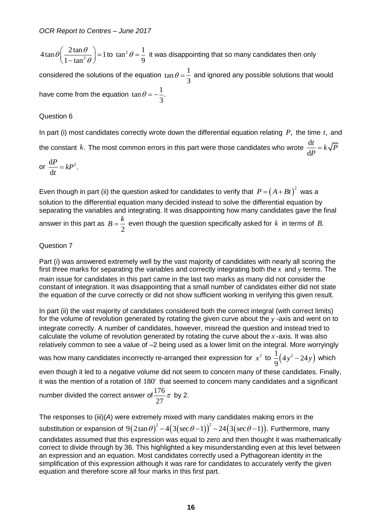$4\tan\theta\left(\frac{2\tan\theta}{1-\tan^2\theta}\right)=1$  $\frac{1}{1 - \tan}$  $\theta \Big| \frac{2 \tan \theta}{2}$  $\left(\frac{2\tan\theta}{1-\tan^2\theta}\right) = 1$  to  $\tan^2\theta = \frac{1}{9}$ 9  $\theta = \frac{1}{2}$  it was disappointing that so many candidates then only

considered the solutions of the equation  $\tan \theta = \frac{1}{2}$ 3  $\theta = \frac{1}{2}$  and ignored any possible solutions that would have come from the equation  $\tan \theta = -\frac{1}{2}$ . 3  $\theta = -$ 

## Question 6

In part (i) most candidates correctly wrote down the differential equation relating  $P$ , the time  $t$ , and the constant  $k$ . The most common errors in this part were those candidates who wrote  $\frac{d}{d}$ d  $\frac{dt}{dt} = k\sqrt{P}$ *P*  $=$ 

or 
$$
\frac{\mathrm{d}P}{\mathrm{d}t} = kP^2.
$$

Even though in part (ii) the question asked for candidates to verify that  $P = \left(A + Bt\right)^2$  was a solution to the differential equation many decided instead to solve the differential equation by separating the variables and integrating. It was disappointing how many candidates gave the final answer in this part as 2  $B = \frac{k}{2}$  even though the question specifically asked for  $k$  in terms of  $B$ .

#### Question 7

Part (i) was answered extremely well by the vast majority of candidates with nearly all scoring the first three marks for separating the variables and correctly integrating both the  $x$  and  $y$  terms. The main issue for candidates in this part came in the last two marks as many did not consider the constant of integration. It was disappointing that a small number of candidates either did not state the equation of the curve correctly or did not show sufficient working in verifying this given result.

In part (ii) the vast majority of candidates considered both the correct integral (with correct limits) for the volume of revolution generated by rotating the given curve about the *y* -axis and went on to integrate correctly. A number of candidates, however, misread the question and instead tried to calculate the volume of revolution generated by rotating the curve about the *x* -axis. It was also relatively common to see a value of –2 being used as a lower limit on the integral. More worryingly

was how many candidates incorrectly re-arranged their expression for  $x^2$  to  $\frac{1}{2}(4y^2-24y)$ 9  $y^2 - 24y$ ) which

even though it led to a negative volume did not seem to concern many of these candidates. Finally, it was the mention of a rotation of  $180^{\circ}$  that seemed to concern many candidates and a significant

number divided the correct answer of 
$$
\frac{176}{27}\pi
$$
 by 2.

2*a*) are sum to give the equation  $\tan \theta = \frac{1}{3}$ .<br>
In the equation  $\tan \theta = \frac{1}{3}$ .<br>
In the equation  $\tan \theta = -\frac{1}{3}$ .<br>
Candidates correctly wrote down the<br>
The most common errors in this pa<br>
in part (ii) the question aske The responses to (iii)(*A*) were extremely mixed with many candidates making errors in the substitution or expansion of  $9(2\tan\theta)^2-4\big(3(\sec\theta-1)\big)^2-24\big(3(\sec\theta-1)\big).$ e extremely mixed with many candidates making errors in the<br>9 $(2\tan\theta)^2 - 4(3(\sec\theta-1))^2 - 24(3(\sec\theta-1)).$  Furthermore, many candidates assumed that this expression was equal to zero and then thought it was mathematically correct to divide through by 36. This highlighted a key misunderstanding even at this level between an expression and an equation. Most candidates correctly used a Pythagorean identity in the simplification of this expression although it was rare for candidates to accurately verify the given equation and therefore score all four marks in this first part.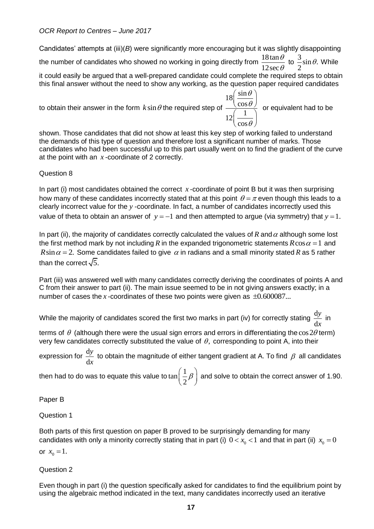Candidates' attempts at (iii)(*B*) were significantly more encouraging but it was slightly disappointing the number of candidates who showed no working in going directly from  $\frac{18\tan \theta}{12}$ 12sec  $\theta$  $\frac{\theta}{\theta}$  to  $\frac{3}{2}$ sin $\theta$ . 2  $\theta$ . While it could easily be argued that a well-prepared candidate could complete the required steps to obtain

this final answer without the need to show any working, as the question paper required candidates

to obtain their answer in the form  $k\sin\theta$  the required step of  $18\left(\frac{\sin 1}{\sin 1}\right)$ cos  $12\left(-\frac{1}{2}\right)$ cos  $\theta$  $\theta$  $\theta$  $\left(\frac{\sin\theta}{\cos\theta}\right)$  $\left(\frac{1}{\cos \theta}\right)$ or equivalent had to be

shown. Those candidates that did not show at least this key step of working failed to understand the demands of this type of question and therefore lost a significant number of marks. Those candidates who had been successful up to this part usually went on to find the gradient of the curve at the point with an *x* -coordinate of 2 correctly.

## Question 8

In part (i) most candidates obtained the correct x-coordinate of point B but it was then surprising how many of these candidates incorrectly stated that at this point  $\theta$  =  $\pi$  even though this leads to a clearly incorrect value for the *y* -coordinate. In fact, a number of candidates incorrectly used this value of theta to obtain an answer of  $y = -1$  and then attempted to argue (via symmetry) that  $y = 1$ .

In part (ii), the majority of candidates correctly calculated the values of R and  $\alpha$  although some lost the first method mark by not including  $R$  in the expanded trigonometric statements  $R\cos\alpha$  =  $1\,$  and  $R\sin\alpha = 2$ . Some candidates failed to give  $\alpha$  in radians and a small minority stated R as 5 rather than the correct  $\sqrt{5}$ .

Part (iii) was answered well with many candidates correctly deriving the coordinates of points A and C from their answer to part (ii). The main issue seemed to be in not giving answers exactly; in a number of cases the  $x$ -coordinates of these two points were given as  $\pm 0.600087...$ 

While the majority of candidates scored the first two marks in part (iv) for correctly stating  $\frac{\rm d}{{\rm d}}$ d *y x* in

terms of  $\theta$  (although there were the usual sign errors and errors in differentiating the  $\cos 2\theta$  term) very few candidates correctly substituted the value of  $\theta$ , corresponding to point A, into their

expression for  $\frac{d}{d}$ d *y x* to obtain the magnitude of either tangent gradient at A. To find  $\,\beta\,$  all candidates

then had to do was to equate this value to  $\tan\Bigl(\frac{1}{2}\Bigr)$  $\frac{1}{2}\beta$  $\left(\frac{1}{2}\beta\right)$  and solve to obtain the correct answer of 1.90.

Paper B

Question 1

Both parts of this first question on paper B proved to be surprisingly demanding for many candidates with only a minority correctly stating that in part (i)  $0 < x_{\rm o} < 1$  and that in part (ii)  $x_{\rm o} = 0$ 

or  $x_0 = 1$ .

Question 2

Even though in part (i) the question specifically asked for candidates to find the equilibrium point by using the algebraic method indicated in the text, many candidates incorrectly used an iterative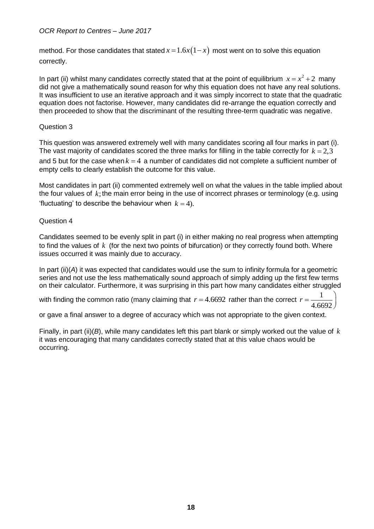method. For those candidates that stated  $x = 1.6x(1-x)$  most went on to solve this equation correctly.

In part (ii) whilst many candidates correctly stated that at the point of equilibrium  $x = x^2 + 2$  many did not give a mathematically sound reason for why this equation does not have any real solutions. It was insufficient to use an iterative approach and it was simply incorrect to state that the quadratic equation does not factorise. However, many candidates did re-arrange the equation correctly and then proceeded to show that the discriminant of the resulting three-term quadratic was negative.

#### Question 3

This question was answered extremely well with many candidates scoring all four marks in part (i). The vast majority of candidates scored the three marks for filling in the table correctly for  $k = 2,3$ and 5 but for the case when  $k = 4$  a number of candidates did not complete a sufficient number of empty cells to clearly establish the outcome for this value.

Most candidates in part (ii) commented extremely well on what the values in the table implied about the four values of k; the main error being in the use of incorrect phrases or terminology (e.g. using 'fluctuating' to describe the behaviour when  $k = 4$ ).

#### Question 4

Candidates seemed to be evenly split in part (i) in either making no real progress when attempting to find the values of k (for the next two points of bifurcation) or they correctly found both. Where issues occurred it was mainly due to accuracy.

In part (ii)(*A*) it was expected that candidates would use the sum to infinity formula for a geometric series and not use the less mathematically sound approach of simply adding up the first few terms on their calculator. Furthermore, it was surprising in this part how many candidates either struggled

with finding the common ratio (many claiming that  $r = 4.6692$  rather than the correct  $r$ 1 4.6692  $\setminus$  $=\frac{1}{4.6602}$  $\bigg)$ 

or gave a final answer to a degree of accuracy which was not appropriate to the given context.

Finally, in part (ii)(*B*), while many candidates left this part blank or simply worked out the value of *k* it was encouraging that many candidates correctly stated that at this value chaos would be occurring.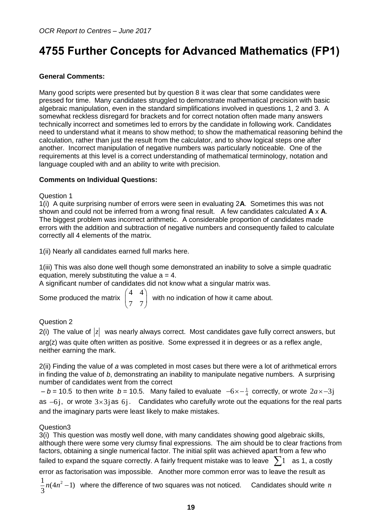## <span id="page-18-0"></span>**4755 Further Concepts for Advanced Mathematics (FP1)**

## **General Comments:**

Many good scripts were presented but by question 8 it was clear that some candidates were pressed for time. Many candidates struggled to demonstrate mathematical precision with basic algebraic manipulation, even in the standard simplifications involved in questions 1, 2 and 3. A somewhat reckless disregard for brackets and for correct notation often made many answers technically incorrect and sometimes led to errors by the candidate in following work. Candidates need to understand what it means to show method; to show the mathematical reasoning behind the calculation, rather than just the result from the calculator, and to show logical steps one after another. Incorrect manipulation of negative numbers was particularly noticeable. One of the requirements at this level is a correct understanding of mathematical terminology, notation and language coupled with and an ability to write with precision.

## **Comments on Individual Questions:**

#### Question 1

1(i) A quite surprising number of errors were seen in evaluating 2**A**. Sometimes this was not shown and could not be inferred from a wrong final result. A few candidates calculated **A** x **A**. The biggest problem was incorrect arithmetic. A considerable proportion of candidates made errors with the addition and subtraction of negative numbers and consequently failed to calculate correctly all 4 elements of the matrix.

1(ii) Nearly all candidates earned full marks here.

1(iii) This was also done well though some demonstrated an inability to solve a simple quadratic equation, merely substituting the value  $a = 4$ .

A significant number of candidates did not know what a singular matrix was.

Some produced the matrix 4 4  $\begin{pmatrix} 4 & 4 \\ 7 & 7 \end{pmatrix}$ with no indication of how it came about.

## Question 2

2(i) The value of  $|z|$  was nearly always correct. Most candidates gave fully correct answers, but arg(z) was quite often written as positive. Some expressed it in degrees or as a reflex angle, neither earning the mark.

2(ii) Finding the value of *a* was completed in most cases but there were a lot of arithmetical errors in finding the value of *b*, demonstrating an inability to manipulate negative numbers. A surprising number of candidates went from the correct

 $-b = 10.5$  to then write  $b = 10.5$ . Many failed to evaluate  $-6 \times -\frac{1}{4}$  correctly, or wrote  $2a \times -3j$ as  $-6j$ , or wrote  $3\times 3j$  as  $6j$ . Candidates who carefully wrote out the equations for the real parts and the imaginary parts were least likely to make mistakes.

#### Question3

3(i) This question was mostly well done, with many candidates showing good algebraic skills, although there were some very clumsy final expressions. The aim should be to clear fractions from factors, obtaining a single numerical factor. The initial split was achieved apart from a few who failed to expand the square correctly. A fairly frequent mistake was to leave  $\,\sum\! 1\,\,$  as 1, a costly error as factorisation was impossible. Another more common error was to leave the result as  $\frac{1}{2}n(4n^2-1)$ 3  $n(4n^2-1)$  where the difference of two squares was not noticed. Candidates should write  $n$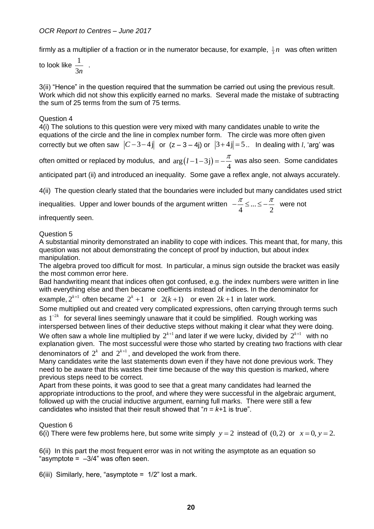firmly as a multiplier of a fraction or in the numerator because, for example,  $\frac{1}{3}n$  was often written

to look like  $\frac{1}{2}$ 3*n* .

3(ii) "Hence" in the question required that the summation be carried out using the previous result. Work which did not show this explicitly earned no marks. Several made the mistake of subtracting the sum of 25 terms from the sum of 75 terms.

#### Question 4

4(i) The solutions to this question were very mixed with many candidates unable to write the equations of the circle and the line in complex number form. The circle was more often given correctly but we often saw  $|C-3-4j|$  or  $(z-3-4j)$  or  $|3+4j|=5$ .. In dealing with *l*, 'arg' was

often omitted or replaced by modulus, and  $arg(l - 1 - 3j)$ 4  $(l-1-3j) = -\frac{\pi}{4}$  was also seen. Some candidates

anticipated part (ii) and introduced an inequality. Some gave a reflex angle, not always accurately.

4(ii) The question clearly stated that the boundaries were included but many candidates used strict

inequalities. Upper and lower bounds of the argument written  $-\frac{1}{x} \leq ...$  $4 - 2$  $-\frac{\pi}{4} \leq ... \leq -\frac{\pi}{2}$  were not

infrequently seen.

Question 5

A substantial minority demonstrated an inability to cope with indices. This meant that, for many, this question was not about demonstrating the concept of proof by induction, but about index manipulation.

The algebra proved too difficult for most. In particular, a minus sign outside the bracket was easily the most common error here.

Bad handwriting meant that indices often got confused, e.g. the index numbers were written in line with everything else and then became coefficients instead of indices. In the denominator for example,  $2^{k+1}$  often became  $2^k + 1$  or  $2(k+1)$  or even  $2k+1$  in later work.

Some multiplied out and created very complicated expressions, often carrying through terms such as 1<sup>-2k</sup> for several lines seemingly unaware that it could be simplified. Rough working was

interspersed between lines of their deductive steps without making it clear what they were doing. We often saw a whole line multiplied by  $2^{k+1}$  and later if we were lucky, divided by  $2^{k+1}$  with no explanation given. The most successful were those who started by creating two fractions with clear denominators of  $2^k$  and  $2^{k+1}$ , and developed the work from there.

Many candidates write the last statements down even if they have not done previous work. They need to be aware that this wastes their time because of the way this question is marked, where previous steps need to be correct.

Apart from these points, it was good to see that a great many candidates had learned the appropriate introductions to the proof, and where they were successful in the algebraic argument, followed up with the crucial inductive argument, earning full marks. There were still a few candidates who insisted that their result showed that " $n = k+1$  is true".

## Question 6

6(i) There were few problems here, but some write simply  $y = 2$  instead of  $(0, 2)$  or  $x = 0, y = 2$ .

6(ii) In this part the most frequent error was in not writing the asymptote as an equation so "asymptote =  $-3/4$ " was often seen.

6(iii) Similarly, here, "asymptote =  $1/2$ " lost a mark.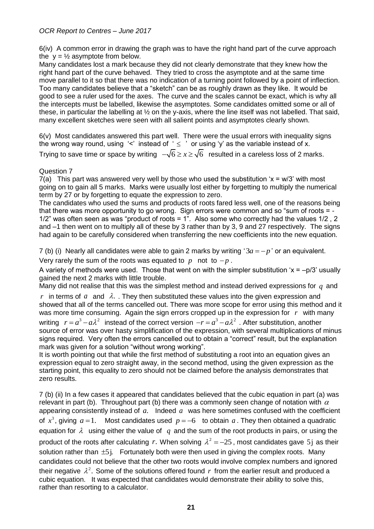6(iv) A common error in drawing the graph was to have the right hand part of the curve approach the  $y = \frac{1}{2}$  asymptote from below.

Many candidates lost a mark because they did not clearly demonstrate that they knew how the right hand part of the curve behaved. They tried to cross the asymptote and at the same time move parallel to it so that there was no indication of a turning point followed by a point of inflection. Too many candidates believe that a "sketch" can be as roughly drawn as they like. It would be good to see a ruler used for the axes. The curve and the scales cannot be exact, which is why all the intercepts must be labelled, likewise the asymptotes. Some candidates omitted some or all of these, in particular the labelling at ½ on the y-axis, where the line itself was not labelled. That said, many excellent sketches were seen with all salient points and asymptotes clearly shown.

6(v) Most candidates answered this part well. There were the usual errors with inequality signs the wrong way round, using '<' instead of '  $\leq$  ' or using 'y' as the variable instead of x. Trying to save time or space by writing  $\,\,-\sqrt{6}\geq\!x\!\geq\!\sqrt{6}\,\,$  resulted in a careless loss of 2 marks.

#### Question 7

7(a) This part was answered very well by those who used the substitution  $x = w/3$  with most going on to gain all 5 marks. Marks were usually lost either by forgetting to multiply the numerical term by 27 or by forgetting to equate the expression to zero.

The candidates who used the sums and products of roots fared less well, one of the reasons being that there was more opportunity to go wrong. Sign errors were common and so "sum of roots = - 1/2" was often seen as was "product of roots = 1". Also some who correctly had the values 1/2 , 2 and –1 then went on to multiply all of these by 3 rather than by 3, 9 and 27 respectively. The signs had again to be carefully considered when transferring the new coefficients into the new equation.

7 (b) (i) Nearly all candidates were able to gain 2 marks by writing  $3a = -p$  or an equivalent.

Very rarely the sum of the roots was equated to  $p$  not to  $-p$ .

A variety of methods were used. Those that went on with the simpler substitution ' $x = -p/3$ ' usually gained the next 2 marks with little trouble.

Many did not realise that this was the simplest method and instead derived expressions for  $q$  and  $r$  in terms of  $a$  and  $\lambda$ . . They then substituted these values into the given expression and showed that all of the terms cancelled out. There was more scope for error using this method and it was more time consuming. Again the sign errors cropped up in the expression for *r* with many writing  $r = a^3 - a\lambda^2$  instead of the correct version  $-r = a^3 - a\lambda^2$  . After substitution, another source of error was over hasty simplification of the expression, with several multiplications of minus signs required. Very often the errors cancelled out to obtain a "correct" result, but the explanation mark was given for a solution "without wrong working".

It is worth pointing out that while the first method of substituting a root into an equation gives an expression equal to zero straight away, in the second method, using the given expression as the starting point, this equality to zero should not be claimed before the analysis demonstrates that zero results.

7 (b) (ii) In a few cases it appeared that candidates believed that the cubic equation in part (a) was relevant in part (b). Throughout part (b) there was a commonly seen change of notation with  $\alpha$ appearing consistently instead of *a*. Indeed *a* was here sometimes confused with the coefficient of  $x^3$ , giving  $a = 1$ . Most candidates used  $p = -6$  to obtain  $a$ . They then obtained a quadratic equation for  $\lambda$  using either the value of  $q$  and the sum of the root products in pairs, or using the product of the roots after calculating r. When solving  $\lambda^2 = -25$ , most candidates gave 5j as their solution rather than  $\pm 5$  j. Fortunately both were then used in giving the complex roots. Many candidates could not believe that the other two roots would involve complex numbers and ignored their negative  $\lambda^2$ . Some of the solutions offered found r from the earlier result and produced a cubic equation. It was expected that candidates would demonstrate their ability to solve this, rather than resorting to a calculator.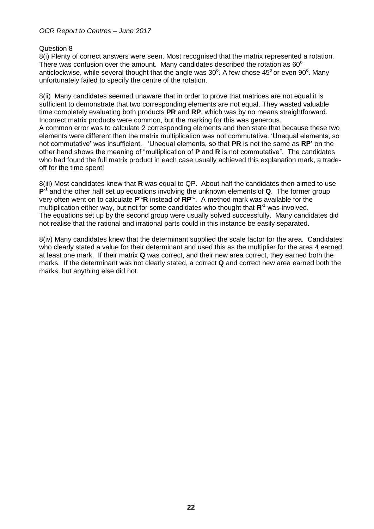Question 8

8(i) Plenty of correct answers were seen. Most recognised that the matrix represented a rotation. There was confusion over the amount. Many candidates described the rotation as  $60^{\circ}$ anticlockwise, while several thought that the angle was  $30^{\circ}$ . A few chose 45° or even 90°. Many unfortunately failed to specify the centre of the rotation.

8(ii) Many candidates seemed unaware that in order to prove that matrices are not equal it is sufficient to demonstrate that two corresponding elements are not equal. They wasted valuable time completely evaluating both products **PR** and **RP**, which was by no means straightforward. Incorrect matrix products were common, but the marking for this was generous. A common error was to calculate 2 corresponding elements and then state that because these two elements were different then the matrix multiplication was not commutative. 'Unequal elements, so not commutative' was insufficient. 'Unequal elements, so that **PR** is not the same as **RP'** on the other hand shows the meaning of "multiplication of **P** and **R** is not commutative". The candidates who had found the full matrix product in each case usually achieved this explanation mark, a tradeoff for the time spent!

8(iii) Most candidates knew that **R** was equal to QP. About half the candidates then aimed to use **P**<sup>-1</sup> and the other half set up equations involving the unknown elements of **Q**. The former group very often went on to calculate  $P^{-1}R$  instead of  $RP^{-1}$ . A method mark was available for the multiplication either way, but not for some candidates who thought that **R**<sup>-1</sup> was involved. The equations set up by the second group were usually solved successfully. Many candidates did not realise that the rational and irrational parts could in this instance be easily separated.

8(iv) Many candidates knew that the determinant supplied the scale factor for the area. Candidates who clearly stated a value for their determinant and used this as the multiplier for the area 4 earned at least one mark. If their matrix **Q** was correct, and their new area correct, they earned both the marks. If the determinant was not clearly stated, a correct **Q** and correct new area earned both the marks, but anything else did not.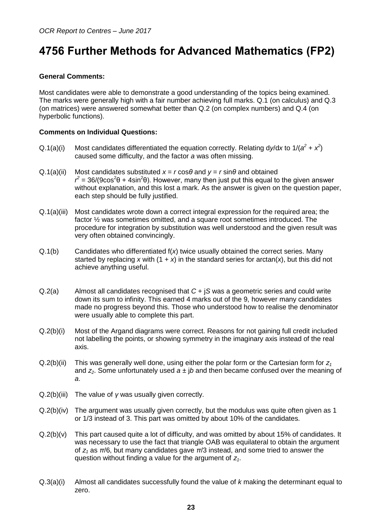## <span id="page-22-0"></span>**4756 Further Methods for Advanced Mathematics (FP2)**

### **General Comments:**

Most candidates were able to demonstrate a good understanding of the topics being examined. The marks were generally high with a fair number achieving full marks. Q.1 (on calculus) and Q.3 (on matrices) were answered somewhat better than Q.2 (on complex numbers) and Q.4 (on hyperbolic functions).

#### **Comments on Individual Questions:**

- Q.1(a)(i) Most candidates differentiated the equation correctly. Relating dy/dx to  $1/(a^2 + x^2)$ caused some difficulty, and the factor *a* was often missing.
- Q.1(a)(ii) Most candidates substituted  $x = r \cos \theta$  and  $y = r \sin \theta$  and obtained  $r^2$  = 36/(9cos<sup>2</sup> $\theta$  + 4sin<sup>2</sup> $\theta$ ). However, many then just put this equal to the given answer without explanation, and this lost a mark. As the answer is given on the question paper, each step should be fully justified.
- Q.1(a)(iii) Most candidates wrote down a correct integral expression for the required area; the factor ½ was sometimes omitted, and a square root sometimes introduced. The procedure for integration by substitution was well understood and the given result was very often obtained convincingly.
- Q.1(b) Candidates who differentiated f(*x*) twice usually obtained the correct series. Many started by replacing x with  $(1 + x)$  in the standard series for arctan(x), but this did not achieve anything useful.
- Q.2(a) Almost all candidates recognised that *C* + j*S* was a geometric series and could write down its sum to infinity. This earned 4 marks out of the 9, however many candidates made no progress beyond this. Those who understood how to realise the denominator were usually able to complete this part.
- Q.2(b)(i) Most of the Argand diagrams were correct. Reasons for not gaining full credit included not labelling the points, or showing symmetry in the imaginary axis instead of the real axis.
- Q.2(b)(ii) This was generally well done, using either the polar form or the Cartesian form for *z<sup>1</sup>* and  $z_2$ . Some unfortunately used  $a \pm ib$  and then became confused over the meaning of *a*.
- Q.2(b)(iii) The value of *γ* was usually given correctly.
- Q.2(b)(iv) The argument was usually given correctly, but the modulus was quite often given as 1 or 1/3 instead of 3. This part was omitted by about 10% of the candidates.
- Q.2(b)(v) This part caused quite a lot of difficulty, and was omitted by about 15% of candidates. It was necessary to use the fact that triangle OAB was equilateral to obtain the argument of *z<sup>1</sup>* as *π*/6, but many candidates gave *π*/3 instead, and some tried to answer the question without finding a value for the argument of *z1*.
- Q.3(a)(i) Almost all candidates successfully found the value of *k* making the determinant equal to zero.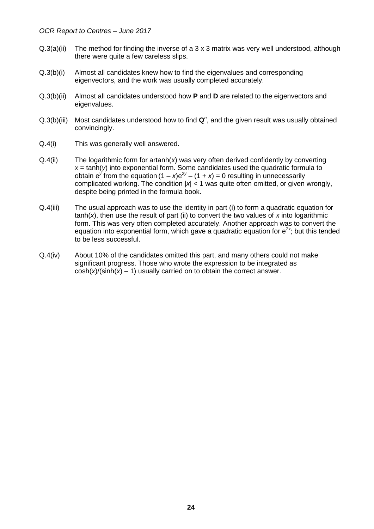- Q.3(a)(ii) The method for finding the inverse of a 3 x 3 matrix was very well understood, although there were quite a few careless slips.
- Q.3(b)(i) Almost all candidates knew how to find the eigenvalues and corresponding eigenvectors, and the work was usually completed accurately.
- Q.3(b)(ii) Almost all candidates understood how **P** and **D** are related to the eigenvectors and eigenvalues.
- Q.3(b)(iii) Most candidates understood how to find Q<sup>n</sup>, and the given result was usually obtained convincingly.
- Q.4(i) This was generally well answered.
- Q.4(ii) The logarithmic form for artanh(*x*) was very often derived confidently by converting  $x = \tanh(y)$  into exponential form. Some candidates used the quadratic formula to obtain  $e^y$  from the equation  $(1 - x)e^{2y} - (1 + x) = 0$  resulting in unnecessarily complicated working. The condition |*x*| < 1 was quite often omitted, or given wrongly, despite being printed in the formula book.
- Q.4(iii) The usual approach was to use the identity in part (i) to form a quadratic equation for  $tanh(x)$ , then use the result of part (ii) to convert the two values of x into logarithmic form. This was very often completed accurately. Another approach was to convert the equation into exponential form, which gave a quadratic equation for e<sup>2x</sup>; but this tended to be less successful.
- Q.4(iv) About 10% of the candidates omitted this part, and many others could not make significant progress. Those who wrote the expression to be integrated as  $cosh(x)/(sinh(x) - 1)$  usually carried on to obtain the correct answer.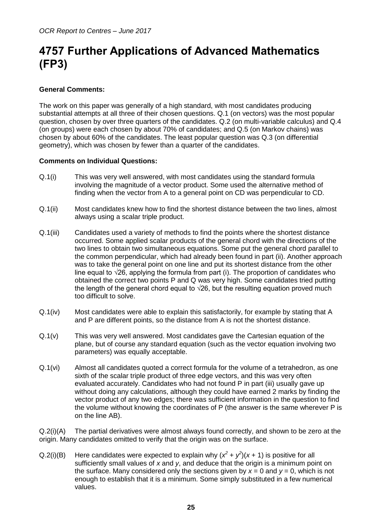## <span id="page-24-0"></span>**4757 Further Applications of Advanced Mathematics (FP3)**

### **General Comments:**

The work on this paper was generally of a high standard, with most candidates producing substantial attempts at all three of their chosen questions. Q.1 (on vectors) was the most popular question, chosen by over three quarters of the candidates. Q.2 (on multi-variable calculus) and Q.4 (on groups) were each chosen by about 70% of candidates; and Q.5 (on Markov chains) was chosen by about 60% of the candidates. The least popular question was Q.3 (on differential geometry), which was chosen by fewer than a quarter of the candidates.

#### **Comments on Individual Questions:**

- Q.1(i) This was very well answered, with most candidates using the standard formula involving the magnitude of a vector product. Some used the alternative method of finding when the vector from A to a general point on CD was perpendicular to CD.
- Q.1(ii) Most candidates knew how to find the shortest distance between the two lines, almost always using a scalar triple product.
- Q.1(iii) Candidates used a variety of methods to find the points where the shortest distance occurred. Some applied scalar products of the general chord with the directions of the two lines to obtain two simultaneous equations. Some put the general chord parallel to the common perpendicular, which had already been found in part (ii). Another approach was to take the general point on one line and put its shortest distance from the other line equal to  $\sqrt{26}$ , applying the formula from part (i). The proportion of candidates who obtained the correct two points P and Q was very high. Some candidates tried putting the length of the general chord equal to  $\sqrt{26}$ , but the resulting equation proved much too difficult to solve.
- Q.1(iv) Most candidates were able to explain this satisfactorily, for example by stating that A and P are different points, so the distance from A is not the shortest distance.
- Q.1(v) This was very well answered. Most candidates gave the Cartesian equation of the plane, but of course any standard equation (such as the vector equation involving two parameters) was equally acceptable.
- Q.1(vi) Almost all candidates quoted a correct formula for the volume of a tetrahedron, as one sixth of the scalar triple product of three edge vectors, and this was very often evaluated accurately. Candidates who had not found P in part (iii) usually gave up without doing any calculations, although they could have earned 2 marks by finding the vector product of any two edges; there was sufficient information in the question to find the volume without knowing the coordinates of P (the answer is the same wherever P is on the line AB).

Q.2(i)(A) The partial derivatives were almost always found correctly, and shown to be zero at the origin. Many candidates omitted to verify that the origin was on the surface.

Q.2(i)(B) Here candidates were expected to explain why  $(x^2 + y^2)(x + 1)$  is positive for all sufficiently small values of *x* and *y*, and deduce that the origin is a minimum point on the surface. Many considered only the sections given by  $x = 0$  and  $y = 0$ , which is not enough to establish that it is a minimum. Some simply substituted in a few numerical values.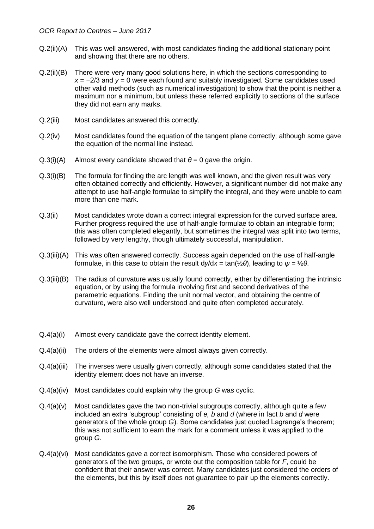- Q.2(ii)(A) This was well answered, with most candidates finding the additional stationary point and showing that there are no others.
- Q.2(ii)(B) There were very many good solutions here, in which the sections corresponding to *x* = −2/3 and *y* = 0 were each found and suitably investigated. Some candidates used other valid methods (such as numerical investigation) to show that the point is neither a maximum nor a minimum, but unless these referred explicitly to sections of the surface they did not earn any marks.
- Q.2(iii) Most candidates answered this correctly.
- Q.2(iv) Most candidates found the equation of the tangent plane correctly; although some gave the equation of the normal line instead.
- $Q.3(i)(A)$  Almost every candidate showed that  $\theta = 0$  gave the origin.
- Q.3(i)(B) The formula for finding the arc length was well known, and the given result was very often obtained correctly and efficiently. However, a significant number did not make any attempt to use half-angle formulae to simplify the integral, and they were unable to earn more than one mark.
- Q.3(ii) Most candidates wrote down a correct integral expression for the curved surface area. Further progress required the use of half-angle formulae to obtain an integrable form; this was often completed elegantly, but sometimes the integral was split into two terms, followed by very lengthy, though ultimately successful, manipulation.
- Q.3(iii)(A) This was often answered correctly. Success again depended on the use of half-angle formulae, in this case to obtain the result d*y*/d*x* = tan(½*θ*), leading to *ψ* = ½*θ*.
- Q.3(iii)(B) The radius of curvature was usually found correctly, either by differentiating the intrinsic equation, or by using the formula involving first and second derivatives of the parametric equations. Finding the unit normal vector, and obtaining the centre of curvature, were also well understood and quite often completed accurately.
- Q.4(a)(i) Almost every candidate gave the correct identity element.
- Q.4(a)(ii) The orders of the elements were almost always given correctly.
- Q.4(a)(iii) The inverses were usually given correctly, although some candidates stated that the identity element does not have an inverse.
- Q.4(a)(iv) Most candidates could explain why the group *G* was cyclic.
- Q.4(a)(v) Most candidates gave the two non-trivial subgroups correctly, although quite a few included an extra 'subgroup' consisting of *e, b* and *d* (where in fact *b* and *d* were generators of the whole group *G*). Some candidates just quoted Lagrange's theorem; this was not sufficient to earn the mark for a comment unless it was applied to the group *G*.
- Q.4(a)(vi) Most candidates gave a correct isomorphism. Those who considered powers of generators of the two groups, or wrote out the composition table for *F*, could be confident that their answer was correct. Many candidates just considered the orders of the elements, but this by itself does not guarantee to pair up the elements correctly.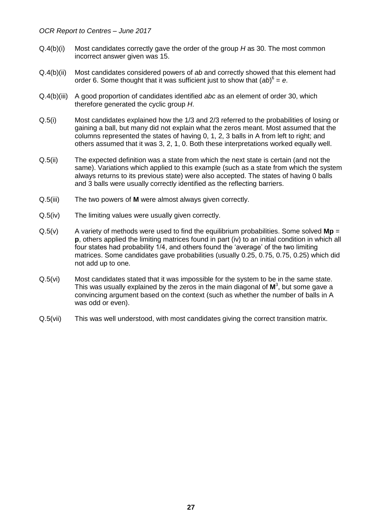- Q.4(b)(i) Most candidates correctly gave the order of the group *H* as 30. The most common incorrect answer given was 15.
- Q.4(b)(ii) Most candidates considered powers of *ab* and correctly showed that this element had order 6. Some thought that it was sufficient just to show that (*ab*) 6 = *e*.
- Q.4(b)(iii) A good proportion of candidates identified *abc* as an element of order 30, which therefore generated the cyclic group *H*.
- Q.5(i) Most candidates explained how the 1/3 and 2/3 referred to the probabilities of losing or gaining a ball, but many did not explain what the zeros meant. Most assumed that the columns represented the states of having 0, 1, 2, 3 balls in A from left to right; and others assumed that it was 3, 2, 1, 0. Both these interpretations worked equally well.
- Q.5(ii) The expected definition was a state from which the next state is certain (and not the same). Variations which applied to this example (such as a state from which the system always returns to its previous state) were also accepted. The states of having 0 balls and 3 balls were usually correctly identified as the reflecting barriers.
- Q.5(iii) The two powers of **M** were almost always given correctly.
- Q.5(iv) The limiting values were usually given correctly.
- Q.5(v) A variety of methods were used to find the equilibrium probabilities. Some solved **Mp** = **p**, others applied the limiting matrices found in part (iv) to an initial condition in which all four states had probability 1/4, and others found the 'average' of the two limiting matrices. Some candidates gave probabilities (usually 0.25, 0.75, 0.75, 0.25) which did not add up to one.
- Q.5(vi) Most candidates stated that it was impossible for the system to be in the same state. This was usually explained by the zeros in the main diagonal of **M** 3 , but some gave a convincing argument based on the context (such as whether the number of balls in A was odd or even).
- Q.5(vii) This was well understood, with most candidates giving the correct transition matrix.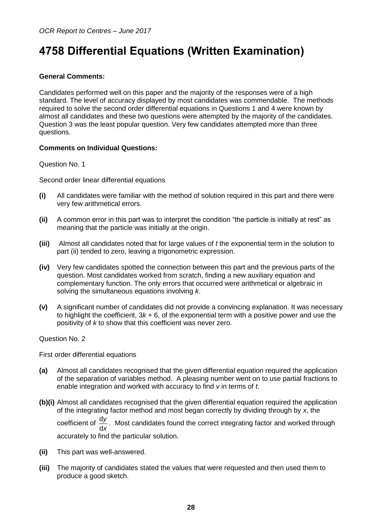## <span id="page-27-0"></span>**4758 Differential Equations (Written Examination)**

## **General Comments:**

Candidates performed well on this paper and the majority of the responses were of a high standard. The level of accuracy displayed by most candidates was commendable. The methods required to solve the second order differential equations in Questions 1 and 4 were known by almost all candidates and these two questions were attempted by the majority of the candidates. Question 3 was the least popular question. Very few candidates attempted more than three questions.

#### **Comments on Individual Questions:**

Question No. 1

Second order linear differential equations

- **(i)** All candidates were familiar with the method of solution required in this part and there were very few arithmetical errors.
- **(ii)** A common error in this part was to interpret the condition "the particle is initially at rest" as meaning that the particle was initially at the origin.
- **(iii)** Almost all candidates noted that for large values of *t* the exponential term in the solution to part (ii) tended to zero, leaving a trigonometric expression.
- **(iv)** Very few candidates spotted the connection between this part and the previous parts of the question. Most candidates worked from scratch, finding a new auxiliary equation and complementary function. The only errors that occurred were arithmetical or algebraic in solving the simultaneous equations involving *k*.
- **(v)** A significant number of candidates did not provide a convincing explanation. It was necessary to highlight the coefficient, 3*k* + 6, of the exponential term with a positive power and use the positivity of *k* to show that this coefficient was never zero.

Question No. 2

First order differential equations

- **(a)** Almost all candidates recognised that the given differential equation required the application of the separation of variables method. A pleasing number went on to use partial fractions to enable integration and worked with accuracy to find *v* in terms of *t*.
- **(b)(i)** Almost all candidates recognised that the given differential equation required the application of the integrating factor method and most began correctly by dividing through by *x*, the coefficient of  $\frac{d}{dx}$ d *y x* . Most candidates found the correct integrating factor and worked through accurately to find the particular solution.
- **(ii)** This part was well-answered.
- **(iii)** The majority of candidates stated the values that were requested and then used them to produce a good sketch.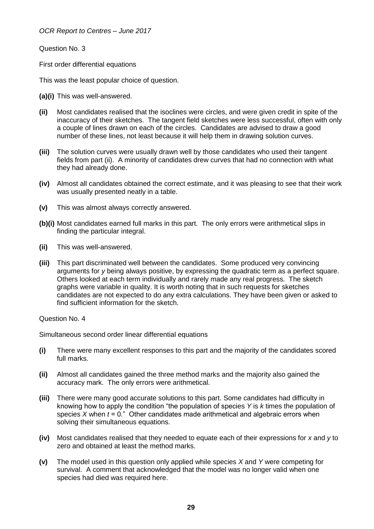Question No. 3

First order differential equations

This was the least popular choice of question.

**(a)(i)** This was well-answered.

- **(ii)** Most candidates realised that the isoclines were circles, and were given credit in spite of the inaccuracy of their sketches. The tangent field sketches were less successful, often with only a couple of lines drawn on each of the circles. Candidates are advised to draw a good number of these lines, not least because it will help them in drawing solution curves.
- **(iii)** The solution curves were usually drawn well by those candidates who used their tangent fields from part (ii). A minority of candidates drew curves that had no connection with what they had already done.
- **(iv)** Almost all candidates obtained the correct estimate, and it was pleasing to see that their work was usually presented neatly in a table.
- **(v)** This was almost always correctly answered.
- **(b)(i)** Most candidates earned full marks in this part. The only errors were arithmetical slips in finding the particular integral.
- **(ii)** This was well-answered.
- **(iii)** This part discriminated well between the candidates. Some produced very convincing arguments for *y* being always positive, by expressing the quadratic term as a perfect square. Others looked at each term individually and rarely made any real progress. The sketch graphs were variable in quality. It is worth noting that in such requests for sketches candidates are not expected to do any extra calculations. They have been given or asked to find sufficient information for the sketch.

Question No. 4

Simultaneous second order linear differential equations

- **(i)** There were many excellent responses to this part and the majority of the candidates scored full marks.
- **(ii)** Almost all candidates gained the three method marks and the majority also gained the accuracy mark. The only errors were arithmetical.
- **(iii)** There were many good accurate solutions to this part. Some candidates had difficulty in knowing how to apply the condition "the population of species *Y* is *k* times the population of species *X* when *t* = 0." Other candidates made arithmetical and algebraic errors when solving their simultaneous equations.
- **(iv)** Most candidates realised that they needed to equate each of their expressions for *x* and *y* to zero and obtained at least the method marks.
- **(v)** The model used in this question only applied while species *X* and *Y* were competing for survival. A comment that acknowledged that the model was no longer valid when one species had died was required here.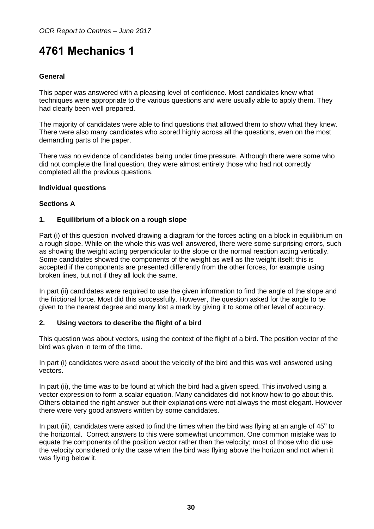## <span id="page-29-0"></span>**4761 Mechanics 1**

## **General**

This paper was answered with a pleasing level of confidence. Most candidates knew what techniques were appropriate to the various questions and were usually able to apply them. They had clearly been well prepared.

The majority of candidates were able to find questions that allowed them to show what they knew. There were also many candidates who scored highly across all the questions, even on the most demanding parts of the paper.

There was no evidence of candidates being under time pressure. Although there were some who did not complete the final question, they were almost entirely those who had not correctly completed all the previous questions.

#### **Individual questions**

#### **Sections A**

#### **1. Equilibrium of a block on a rough slope**

Part (i) of this question involved drawing a diagram for the forces acting on a block in equilibrium on a rough slope. While on the whole this was well answered, there were some surprising errors, such as showing the weight acting perpendicular to the slope or the normal reaction acting vertically. Some candidates showed the components of the weight as well as the weight itself; this is accepted if the components are presented differently from the other forces, for example using broken lines, but not if they all look the same.

In part (ii) candidates were required to use the given information to find the angle of the slope and the frictional force. Most did this successfully. However, the question asked for the angle to be given to the nearest degree and many lost a mark by giving it to some other level of accuracy.

#### **2. Using vectors to describe the flight of a bird**

This question was about vectors, using the context of the flight of a bird. The position vector of the bird was given in term of the time.

In part (i) candidates were asked about the velocity of the bird and this was well answered using vectors.

In part (ii), the time was to be found at which the bird had a given speed. This involved using a vector expression to form a scalar equation. Many candidates did not know how to go about this. Others obtained the right answer but their explanations were not always the most elegant. However there were very good answers written by some candidates.

In part (iii), candidates were asked to find the times when the bird was flying at an angle of  $45^{\circ}$  to the horizontal. Correct answers to this were somewhat uncommon. One common mistake was to equate the components of the position vector rather than the velocity; most of those who did use the velocity considered only the case when the bird was flying above the horizon and not when it was flying below it.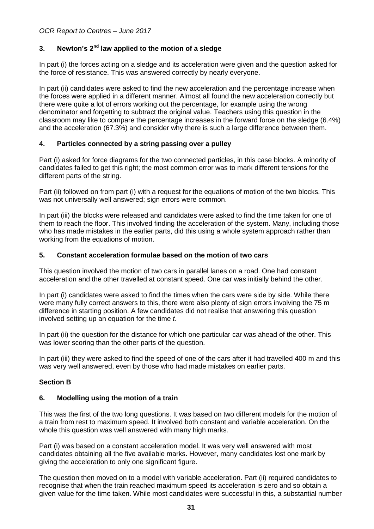## **3. Newton's 2nd law applied to the motion of a sledge**

In part (i) the forces acting on a sledge and its acceleration were given and the question asked for the force of resistance. This was answered correctly by nearly everyone.

In part (ii) candidates were asked to find the new acceleration and the percentage increase when the forces were applied in a different manner. Almost all found the new acceleration correctly but there were quite a lot of errors working out the percentage, for example using the wrong denominator and forgetting to subtract the original value. Teachers using this question in the classroom may like to compare the percentage increases in the forward force on the sledge (6.4%) and the acceleration (67.3%) and consider why there is such a large difference between them.

## **4. Particles connected by a string passing over a pulley**

Part (i) asked for force diagrams for the two connected particles, in this case blocks. A minority of candidates failed to get this right; the most common error was to mark different tensions for the different parts of the string.

Part (ii) followed on from part (i) with a request for the equations of motion of the two blocks. This was not universally well answered; sign errors were common.

In part (iii) the blocks were released and candidates were asked to find the time taken for one of them to reach the floor. This involved finding the acceleration of the system. Many, including those who has made mistakes in the earlier parts, did this using a whole system approach rather than working from the equations of motion.

#### **5. Constant acceleration formulae based on the motion of two cars**

This question involved the motion of two cars in parallel lanes on a road. One had constant acceleration and the other travelled at constant speed. One car was initially behind the other.

In part (i) candidates were asked to find the times when the cars were side by side. While there were many fully correct answers to this, there were also plenty of sign errors involving the 75 m difference in starting position. A few candidates did not realise that answering this question involved setting up an equation for the time *t*.

In part (ii) the question for the distance for which one particular car was ahead of the other. This was lower scoring than the other parts of the question.

In part (iii) they were asked to find the speed of one of the cars after it had travelled 400 m and this was very well answered, even by those who had made mistakes on earlier parts.

## **Section B**

#### **6. Modelling using the motion of a train**

This was the first of the two long questions. It was based on two different models for the motion of a train from rest to maximum speed. It involved both constant and variable acceleration. On the whole this question was well answered with many high marks.

Part (i) was based on a constant acceleration model. It was very well answered with most candidates obtaining all the five available marks. However, many candidates lost one mark by giving the acceleration to only one significant figure.

The question then moved on to a model with variable acceleration. Part (ii) required candidates to recognise that when the train reached maximum speed its acceleration is zero and so obtain a given value for the time taken. While most candidates were successful in this, a substantial number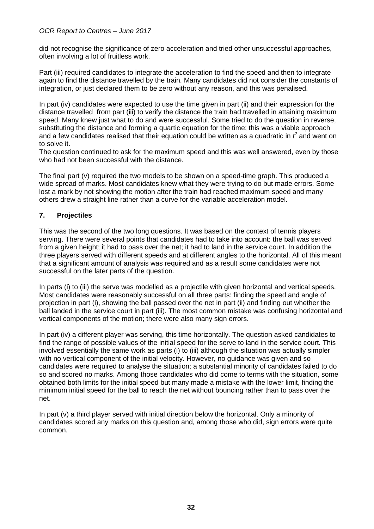did not recognise the significance of zero acceleration and tried other unsuccessful approaches, often involving a lot of fruitless work.

Part (iii) required candidates to integrate the acceleration to find the speed and then to integrate again to find the distance travelled by the train. Many candidates did not consider the constants of integration, or just declared them to be zero without any reason, and this was penalised.

In part (iv) candidates were expected to use the time given in part (ii) and their expression for the distance travelled from part (iii) to verify the distance the train had travelled in attaining maximum speed. Many knew just what to do and were successful. Some tried to do the question in reverse, substituting the distance and forming a quartic equation for the time; this was a viable approach and a few candidates realised that their equation could be written as a quadratic in  $f$  and went on to solve it.

The question continued to ask for the maximum speed and this was well answered, even by those who had not been successful with the distance.

The final part (v) required the two models to be shown on a speed-time graph. This produced a wide spread of marks. Most candidates knew what they were trying to do but made errors. Some lost a mark by not showing the motion after the train had reached maximum speed and many others drew a straight line rather than a curve for the variable acceleration model.

## **7. Projectiles**

This was the second of the two long questions. It was based on the context of tennis players serving. There were several points that candidates had to take into account: the ball was served from a given height; it had to pass over the net; it had to land in the service court. In addition the three players served with different speeds and at different angles to the horizontal. All of this meant that a significant amount of analysis was required and as a result some candidates were not successful on the later parts of the question.

In parts (i) to (iii) the serve was modelled as a projectile with given horizontal and vertical speeds. Most candidates were reasonably successful on all three parts: finding the speed and angle of projection in part (i), showing the ball passed over the net in part (ii) and finding out whether the ball landed in the service court in part (iii). The most common mistake was confusing horizontal and vertical components of the motion; there were also many sign errors.

In part (iv) a different player was serving, this time horizontally. The question asked candidates to find the range of possible values of the initial speed for the serve to land in the service court. This involved essentially the same work as parts (i) to (iii) although the situation was actually simpler with no vertical component of the initial velocity. However, no guidance was given and so candidates were required to analyse the situation; a substantial minority of candidates failed to do so and scored no marks. Among those candidates who did come to terms with the situation, some obtained both limits for the initial speed but many made a mistake with the lower limit, finding the minimum initial speed for the ball to reach the net without bouncing rather than to pass over the net.

In part (v) a third player served with initial direction below the horizontal. Only a minority of candidates scored any marks on this question and, among those who did, sign errors were quite common.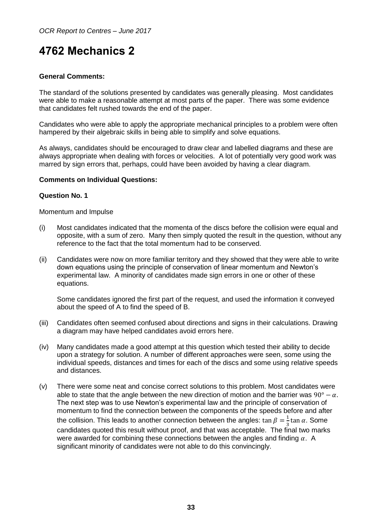## <span id="page-32-0"></span>**4762 Mechanics 2**

### **General Comments:**

The standard of the solutions presented by candidates was generally pleasing. Most candidates were able to make a reasonable attempt at most parts of the paper. There was some evidence that candidates felt rushed towards the end of the paper.

Candidates who were able to apply the appropriate mechanical principles to a problem were often hampered by their algebraic skills in being able to simplify and solve equations.

As always, candidates should be encouraged to draw clear and labelled diagrams and these are always appropriate when dealing with forces or velocities. A lot of potentially very good work was marred by sign errors that, perhaps, could have been avoided by having a clear diagram.

#### **Comments on Individual Questions:**

#### **Question No. 1**

#### Momentum and Impulse

- (i) Most candidates indicated that the momenta of the discs before the collision were equal and opposite, with a sum of zero. Many then simply quoted the result in the question, without any reference to the fact that the total momentum had to be conserved.
- (ii) Candidates were now on more familiar territory and they showed that they were able to write down equations using the principle of conservation of linear momentum and Newton's experimental law. A minority of candidates made sign errors in one or other of these equations.

Some candidates ignored the first part of the request, and used the information it conveyed about the speed of A to find the speed of B.

- (iii) Candidates often seemed confused about directions and signs in their calculations. Drawing a diagram may have helped candidates avoid errors here.
- (iv) Many candidates made a good attempt at this question which tested their ability to decide upon a strategy for solution. A number of different approaches were seen, some using the individual speeds, distances and times for each of the discs and some using relative speeds and distances.
- (v) There were some neat and concise correct solutions to this problem. Most candidates were able to state that the angle between the new direction of motion and the barrier was  $90^{\circ} - \alpha$ . The next step was to use Newton's experimental law and the principle of conservation of momentum to find the connection between the components of the speeds before and after the collision. This leads to another connection between the angles:  $\tan \beta = \frac{1}{2}$  $\frac{1}{3}$ tan  $\alpha$ . Some candidates quoted this result without proof, and that was acceptable. The final two marks were awarded for combining these connections between the angles and finding  $\alpha$ . A significant minority of candidates were not able to do this convincingly.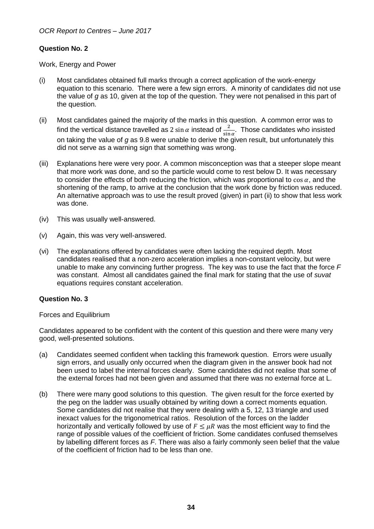## **Question No. 2**

Work, Energy and Power

- (i) Most candidates obtained full marks through a correct application of the work-energy equation to this scenario. There were a few sign errors. A minority of candidates did not use the value of *g* as 10, given at the top of the question. They were not penalised in this part of the question.
- (ii) Most candidates gained the majority of the marks in this question. A common error was to find the vertical distance travelled as 2 sin  $\alpha$  instead of  $\frac{2}{\sin \alpha}$ . Those candidates who insisted on taking the value of *g* as 9.8 were unable to derive the given result, but unfortunately this did not serve as a warning sign that something was wrong.
- (iii) Explanations here were very poor. A common misconception was that a steeper slope meant that more work was done, and so the particle would come to rest below D. It was necessary to consider the effects of both reducing the friction, which was proportional to  $\cos \alpha$ , and the shortening of the ramp, to arrive at the conclusion that the work done by friction was reduced. An alternative approach was to use the result proved (given) in part (ii) to show that less work was done.
- (iv) This was usually well-answered.
- (v) Again, this was very well-answered.
- (vi) The explanations offered by candidates were often lacking the required depth. Most candidates realised that a non-zero acceleration implies a non-constant velocity, but were unable to make any convincing further progress. The key was to use the fact that the force *F* was constant. Almost all candidates gained the final mark for stating that the use of *suvat* equations requires constant acceleration.

#### **Question No. 3**

#### Forces and Equilibrium

Candidates appeared to be confident with the content of this question and there were many very good, well-presented solutions.

- (a) Candidates seemed confident when tackling this framework question. Errors were usually sign errors, and usually only occurred when the diagram given in the answer book had not been used to label the internal forces clearly. Some candidates did not realise that some of the external forces had not been given and assumed that there was no external force at L.
- (b) There were many good solutions to this question. The given result for the force exerted by the peg on the ladder was usually obtained by writing down a correct moments equation. Some candidates did not realise that they were dealing with a 5, 12, 13 triangle and used inexact values for the trigonometrical ratios. Resolution of the forces on the ladder horizontally and vertically followed by use of  $F \leq \mu R$  was the most efficient way to find the range of possible values of the coefficient of friction. Some candidates confused themselves by labelling different forces as *F*. There was also a fairly commonly seen belief that the value of the coefficient of friction had to be less than one.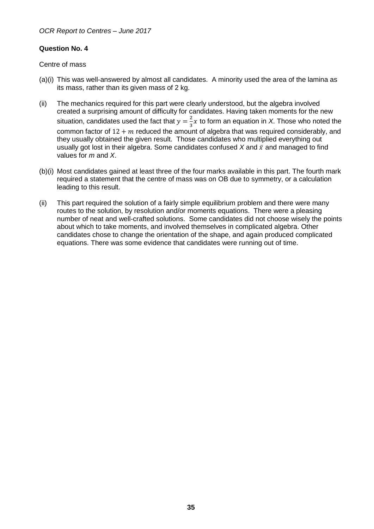## **Question No. 4**

Centre of mass

- (a)(i) This was well-answered by almost all candidates. A minority used the area of the lamina as its mass, rather than its given mass of 2 kg.
- (ii) The mechanics required for this part were clearly understood, but the algebra involved created a surprising amount of difficulty for candidates. Having taken moments for the new situation, candidates used the fact that  $y=\frac{2}{3}$  $\frac{2}{3}x$  to form an equation in *X*. Those who noted the common factor of  $12 + m$  reduced the amount of algebra that was required considerably, and they usually obtained the given result. Those candidates who multiplied everything out usually got lost in their algebra. Some candidates confused  $X$  and  $\bar{x}$  and managed to find values for *m* and *X*.
- (b)(i) Most candidates gained at least three of the four marks available in this part. The fourth mark required a statement that the centre of mass was on OB due to symmetry, or a calculation leading to this result.
- (ii) This part required the solution of a fairly simple equilibrium problem and there were many routes to the solution, by resolution and/or moments equations. There were a pleasing number of neat and well-crafted solutions. Some candidates did not choose wisely the points about which to take moments, and involved themselves in complicated algebra. Other candidates chose to change the orientation of the shape, and again produced complicated equations. There was some evidence that candidates were running out of time.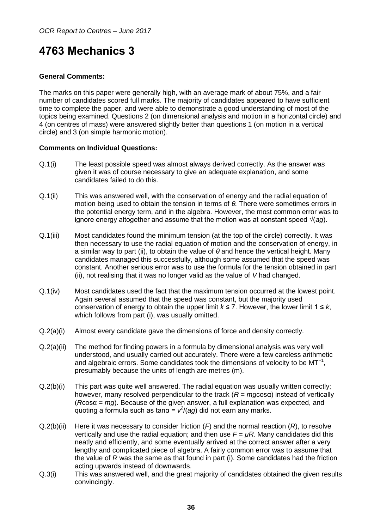## <span id="page-35-0"></span>**4763 Mechanics 3**

### **General Comments:**

The marks on this paper were generally high, with an average mark of about 75%, and a fair number of candidates scored full marks. The majority of candidates appeared to have sufficient time to complete the paper, and were able to demonstrate a good understanding of most of the topics being examined. Questions 2 (on dimensional analysis and motion in a horizontal circle) and 4 (on centres of mass) were answered slightly better than questions 1 (on motion in a vertical circle) and 3 (on simple harmonic motion).

#### **Comments on Individual Questions:**

- Q.1(i) The least possible speed was almost always derived correctly. As the answer was given it was of course necessary to give an adequate explanation, and some candidates failed to do this.
- Q.1(ii) This was answered well, with the conservation of energy and the radial equation of motion being used to obtain the tension in terms of *θ.* There were sometimes errors in the potential energy term, and in the algebra. However, the most common error was to ignore energy altogether and assume that the motion was at constant speed √(*ag*).
- Q.1(iii) Most candidates found the minimum tension (at the top of the circle) correctly. It was then necessary to use the radial equation of motion and the conservation of energy, in a similar way to part (ii), to obtain the value of *θ* and hence the vertical height. Many candidates managed this successfully, although some assumed that the speed was constant. Another serious error was to use the formula for the tension obtained in part (ii), not realising that it was no longer valid as the value of *V* had changed.
- Q.1(iv) Most candidates used the fact that the maximum tension occurred at the lowest point. Again several assumed that the speed was constant, but the majority used conservation of energy to obtain the upper limit  $k \le 7$ . However, the lower limit  $1 \le k$ , which follows from part (i), was usually omitted.
- Q.2(a)(i) Almost every candidate gave the dimensions of force and density correctly.
- Q.2(a)(ii) The method for finding powers in a formula by dimensional analysis was very well understood, and usually carried out accurately. There were a few careless arithmetic and algebraic errors. Some candidates took the dimensions of velocity to be  $MT^{-1}$ , presumably because the units of length are metres (m).
- Q.2(b)(i) This part was quite well answered. The radial equation was usually written correctly; however, many resolved perpendicular to the track (*R* = *mg*cosα) instead of vertically (*R*cosα = *mg*). Because of the given answer, a full explanation was expected, and quoting a formula such as tan $\alpha = v^2/(ag)$  did not earn any marks.
- Q.2(b)(ii) Here it was necessary to consider friction (*F*) and the normal reaction (*R*), to resolve vertically and use the radial equation; and then use  $F = \mu R$ . Many candidates did this neatly and efficiently, and some eventually arrived at the correct answer after a very lengthy and complicated piece of algebra. A fairly common error was to assume that the value of *R* was the same as that found in part (i). Some candidates had the friction acting upwards instead of downwards.
- Q.3(i) This was answered well, and the great majority of candidates obtained the given results convincingly.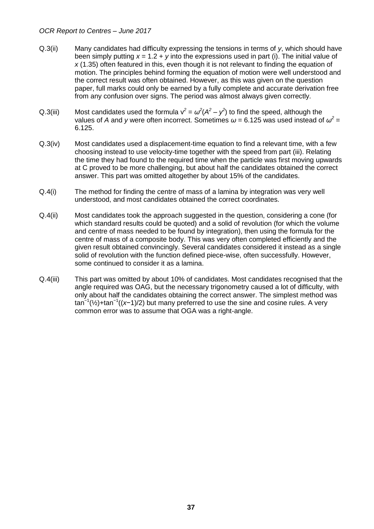- Q.3(ii) Many candidates had difficulty expressing the tensions in terms of *y*, which should have been simply putting *x* = 1.2 + *y* into the expressions used in part (i). The initial value of *x* (1.35) often featured in this, even though it is not relevant to finding the equation of motion. The principles behind forming the equation of motion were well understood and the correct result was often obtained. However, as this was given on the question paper, full marks could only be earned by a fully complete and accurate derivation free from any confusion over signs. The period was almost always given correctly.
- Q.3(iii) Most candidates used the formula  $v^2 = \omega^2(A^2 y^2)$  to find the speed, although the values of A and y were often incorrect. Sometimes  $\omega$  = 6.125 was used instead of  $\omega^2$  = 6.125.
- Q.3(iv) Most candidates used a displacement-time equation to find a relevant time, with a few choosing instead to use velocity-time together with the speed from part (iii). Relating the time they had found to the required time when the particle was first moving upwards at C proved to be more challenging, but about half the candidates obtained the correct answer. This part was omitted altogether by about 15% of the candidates.
- Q.4(i) The method for finding the centre of mass of a lamina by integration was very well understood, and most candidates obtained the correct coordinates.
- Q.4(ii) Most candidates took the approach suggested in the question, considering a cone (for which standard results could be quoted) and a solid of revolution (for which the volume and centre of mass needed to be found by integration), then using the formula for the centre of mass of a composite body. This was very often completed efficiently and the given result obtained convincingly. Several candidates considered it instead as a single solid of revolution with the function defined piece-wise, often successfully. However, some continued to consider it as a lamina.
- Q.4(iii) This part was omitted by about 10% of candidates. Most candidates recognised that the angle required was OAG, but the necessary trigonometry caused a lot of difficulty, with only about half the candidates obtaining the correct answer. The simplest method was tan<sup>-1</sup>(½)+tan<sup>-1</sup>((x-1)/2) but many preferred to use the sine and cosine rules. A very common error was to assume that OGA was a right-angle.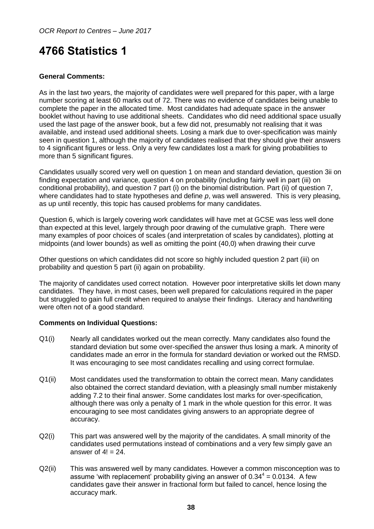## <span id="page-37-0"></span>**4766 Statistics 1**

## **General Comments:**

As in the last two years, the majority of candidates were well prepared for this paper, with a large number scoring at least 60 marks out of 72. There was no evidence of candidates being unable to complete the paper in the allocated time. Most candidates had adequate space in the answer booklet without having to use additional sheets. Candidates who did need additional space usually used the last page of the answer book, but a few did not, presumably not realising that it was available, and instead used additional sheets. Losing a mark due to over-specification was mainly seen in question 1, although the majority of candidates realised that they should give their answers to 4 significant figures or less. Only a very few candidates lost a mark for giving probabilities to more than 5 significant figures.

Candidates usually scored very well on question 1 on mean and standard deviation, question 3ii on finding expectation and variance, question 4 on probability (including fairly well in part (iii) on conditional probability), and question 7 part (i) on the binomial distribution. Part (ii) of question 7, where candidates had to state hypotheses and define *p*, was well answered. This is very pleasing, as up until recently, this topic has caused problems for many candidates.

Question 6, which is largely covering work candidates will have met at GCSE was less well done than expected at this level, largely through poor drawing of the cumulative graph. There were many examples of poor choices of scales (and interpretation of scales by candidates), plotting at midpoints (and lower bounds) as well as omitting the point (40,0) when drawing their curve

Other questions on which candidates did not score so highly included question 2 part (iii) on probability and question 5 part (ii) again on probability.

The majority of candidates used correct notation. However poor interpretative skills let down many candidates. They have, in most cases, been well prepared for calculations required in the paper but struggled to gain full credit when required to analyse their findings. Literacy and handwriting were often not of a good standard.

#### **Comments on Individual Questions:**

- Q1(i) Nearly all candidates worked out the mean correctly. Many candidates also found the standard deviation but some over-specified the answer thus losing a mark. A minority of candidates made an error in the formula for standard deviation or worked out the RMSD. It was encouraging to see most candidates recalling and using correct formulae.
- Q1(ii) Most candidates used the transformation to obtain the correct mean. Many candidates also obtained the correct standard deviation, with a pleasingly small number mistakenly adding 7.2 to their final answer. Some candidates lost marks for over-specification, although there was only a penalty of 1 mark in the whole question for this error. It was encouraging to see most candidates giving answers to an appropriate degree of accuracy.
- Q2(i) This part was answered well by the majority of the candidates. A small minority of the candidates used permutations instead of combinations and a very few simply gave an answer of  $4! = 24$ .
- Q2(ii) This was answered well by many candidates. However a common misconception was to assume 'with replacement' probability giving an answer of  $0.34^4 = 0.0134$ . A few candidates gave their answer in fractional form but failed to cancel, hence losing the accuracy mark.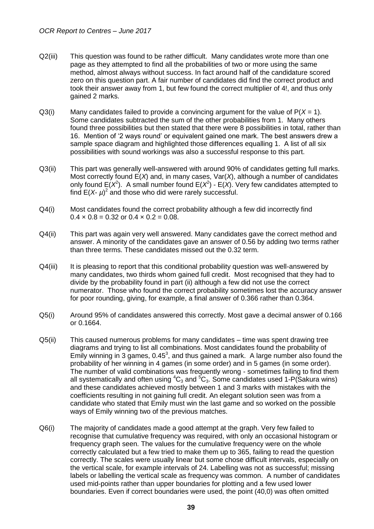- Q2(iii) This question was found to be rather difficult. Many candidates wrote more than one page as they attempted to find all the probabilities of two or more using the same method, almost always without success. In fact around half of the candidature scored zero on this question part. A fair number of candidates did find the correct product and took their answer away from 1, but few found the correct multiplier of 4!, and thus only gained 2 marks.
- $Q3(i)$  Many candidates failed to provide a convincing argument for the value of  $P(X = 1)$ . Some candidates subtracted the sum of the other probabilities from 1. Many others found three possibilities but then stated that there were 8 possibilities in total, rather than 16. Mention of '2 ways round' or equivalent gained one mark. The best answers drew a sample space diagram and highlighted those differences equalling 1. A list of all six possibilities with sound workings was also a successful response to this part.
- Q3(ii) This part was generally well-answered with around 90% of candidates getting full marks. Most correctly found E(*X*) and, in many cases, Var(*X*), although a number of candidates only found  $E(X^2)$ . A small number found  $E(X^2)$  -  $E(X)$ . Very few candidates attempted to find  $E(X - \mu)^2$  and those who did were rarely successful.
- Q4(i) Most candidates found the correct probability although a few did incorrectly find  $0.4 \times 0.8 = 0.32$  or  $0.4 \times 0.2 = 0.08$ .
- Q4(ii) This part was again very well answered. Many candidates gave the correct method and answer. A minority of the candidates gave an answer of 0.56 by adding two terms rather than three terms. These candidates missed out the 0.32 term.
- Q4(iii) It is pleasing to report that this conditional probability question was well-answered by many candidates, two thirds whom gained full credit. Most recognised that they had to divide by the probability found in part (ii) although a few did not use the correct numerator. Those who found the correct probability sometimes lost the accuracy answer for poor rounding, giving, for example, a final answer of 0.366 rather than 0.364.
- Q5(i) Around 95% of candidates answered this correctly. Most gave a decimal answer of 0.166 or 0.1664.
- Q5(ii) This caused numerous problems for many candidates time was spent drawing tree diagrams and trying to list all combinations. Most candidates found the probability of Emily winning in 3 games,  $0.45<sup>3</sup>$ , and thus gained a mark. A large number also found the probability of her winning in 4 games (in some order) and in 5 games (in some order). The number of valid combinations was frequently wrong - sometimes failing to find them all systematically and often using  ${}^4C_3$  and  ${}^5C_3$ . Some candidates used 1-P(Sakura wins) and these candidates achieved mostly between 1 and 3 marks with mistakes with the coefficients resulting in not gaining full credit. An elegant solution seen was from a candidate who stated that Emily must win the last game and so worked on the possible ways of Emily winning two of the previous matches.
- Q6(i) The majority of candidates made a good attempt at the graph. Very few failed to recognise that cumulative frequency was required, with only an occasional histogram or frequency graph seen. The values for the cumulative frequency were on the whole correctly calculated but a few tried to make them up to 365, failing to read the question correctly. The scales were usually linear but some chose difficult intervals, especially on the vertical scale, for example intervals of 24. Labelling was not as successful; missing labels or labelling the vertical scale as frequency was common. A number of candidates used mid-points rather than upper boundaries for plotting and a few used lower boundaries. Even if correct boundaries were used, the point (40,0) was often omitted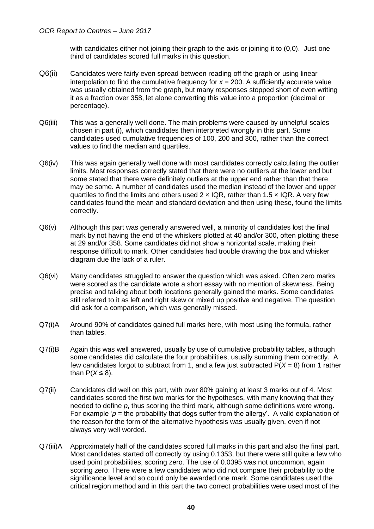with candidates either not joining their graph to the axis or joining it to  $(0,0)$ . Just one third of candidates scored full marks in this question.

- Q6(ii) Candidates were fairly even spread between reading off the graph or using linear interpolation to find the cumulative frequency for  $x = 200$ . A sufficiently accurate value was usually obtained from the graph, but many responses stopped short of even writing it as a fraction over 358, let alone converting this value into a proportion (decimal or percentage).
- Q6(iii) This was a generally well done. The main problems were caused by unhelpful scales chosen in part (i), which candidates then interpreted wrongly in this part. Some candidates used cumulative frequencies of 100, 200 and 300, rather than the correct values to find the median and quartiles.
- Q6(iv) This was again generally well done with most candidates correctly calculating the outlier limits. Most responses correctly stated that there were no outliers at the lower end but some stated that there were definitely outliers at the upper end rather than that there may be some. A number of candidates used the median instead of the lower and upper quartiles to find the limits and others used  $2 \times IQR$ , rather than 1.5  $\times IQR$ . A very few candidates found the mean and standard deviation and then using these, found the limits correctly.
- Q6(v) Although this part was generally answered well, a minority of candidates lost the final mark by not having the end of the whiskers plotted at 40 and/or 300, often plotting these at 29 and/or 358. Some candidates did not show a horizontal scale, making their response difficult to mark. Other candidates had trouble drawing the box and whisker diagram due the lack of a ruler.
- Q6(vi) Many candidates struggled to answer the question which was asked. Often zero marks were scored as the candidate wrote a short essay with no mention of skewness. Being precise and talking about both locations generally gained the marks. Some candidates still referred to it as left and right skew or mixed up positive and negative. The question did ask for a comparison, which was generally missed.
- Q7(i)A Around 90% of candidates gained full marks here, with most using the formula, rather than tables.
- Q7(i)B Again this was well answered, usually by use of cumulative probability tables, although some candidates did calculate the four probabilities, usually summing them correctly. A few candidates forgot to subtract from 1, and a few just subtracted  $P(X = 8)$  from 1 rather than  $P(X \le 8)$ .
- Q7(ii) Candidates did well on this part, with over 80% gaining at least 3 marks out of 4. Most candidates scored the first two marks for the hypotheses, with many knowing that they needed to define *p*, thus scoring the third mark, although some definitions were wrong. For example ' $p$  = the probability that dogs suffer from the allergy'. A valid explanation of the reason for the form of the alternative hypothesis was usually given, even if not always very well worded.
- Q7(iii)A Approximately half of the candidates scored full marks in this part and also the final part. Most candidates started off correctly by using 0.1353, but there were still quite a few who used point probabilities, scoring zero. The use of 0.0395 was not uncommon, again scoring zero. There were a few candidates who did not compare their probability to the significance level and so could only be awarded one mark. Some candidates used the critical region method and in this part the two correct probabilities were used most of the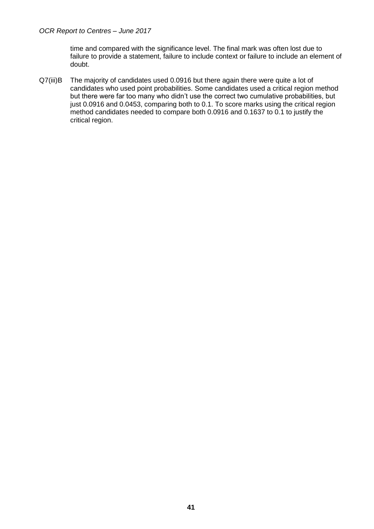time and compared with the significance level. The final mark was often lost due to failure to provide a statement, failure to include context or failure to include an element of doubt.

Q7(iii)B The majority of candidates used 0.0916 but there again there were quite a lot of candidates who used point probabilities. Some candidates used a critical region method but there were far too many who didn't use the correct two cumulative probabilities, but just 0.0916 and 0.0453, comparing both to 0.1. To score marks using the critical region method candidates needed to compare both 0.0916 and 0.1637 to 0.1 to justify the critical region.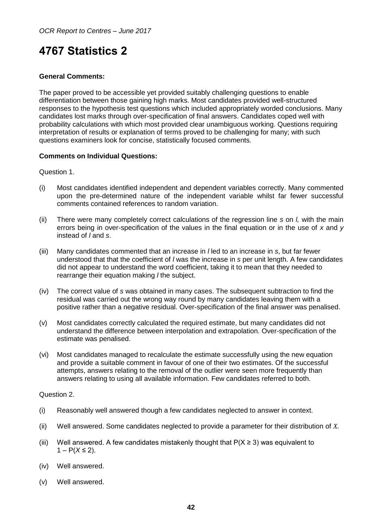## <span id="page-41-0"></span>**4767 Statistics 2**

### **General Comments:**

The paper proved to be accessible yet provided suitably challenging questions to enable differentiation between those gaining high marks. Most candidates provided well-structured responses to the hypothesis test questions which included appropriately worded conclusions. Many candidates lost marks through over-specification of final answers. Candidates coped well with probability calculations with which most provided clear unambiguous working. Questions requiring interpretation of results or explanation of terms proved to be challenging for many; with such questions examiners look for concise, statistically focused comments.

#### **Comments on Individual Questions:**

Question 1.

- (i) Most candidates identified independent and dependent variables correctly. Many commented upon the pre-determined nature of the independent variable whilst far fewer successful comments contained references to random variation.
- (ii) There were many completely correct calculations of the regression line *s* on *l,* with the main errors being in over-specification of the values in the final equation or in the use of *x* and *y* instead of *l* and *s*.
- (iii) Many candidates commented that an increase in *l* led to an increase in *s*, but far fewer understood that that the coefficient of *l* was the increase in *s* per unit length. A few candidates did not appear to understand the word coefficient, taking it to mean that they needed to rearrange their equation making *l* the subject.
- (iv) The correct value of *s* was obtained in many cases. The subsequent subtraction to find the residual was carried out the wrong way round by many candidates leaving them with a positive rather than a negative residual. Over-specification of the final answer was penalised.
- (v) Most candidates correctly calculated the required estimate, but many candidates did not understand the difference between interpolation and extrapolation. Over-specification of the estimate was penalised.
- (vi) Most candidates managed to recalculate the estimate successfully using the new equation and provide a suitable comment in favour of one of their two estimates. Of the successful attempts, answers relating to the removal of the outlier were seen more frequently than answers relating to using all available information. Few candidates referred to both.

#### Question 2.

- (i) Reasonably well answered though a few candidates neglected to answer in context.
- (ii) Well answered. Some candidates neglected to provide a parameter for their distribution of *X*.
- (iii) Well answered. A few candidates mistakenly thought that  $P(X \ge 3)$  was equivalent to 1 –  $P(X ≤ 2)$ .
- (iv) Well answered.
- (v) Well answered.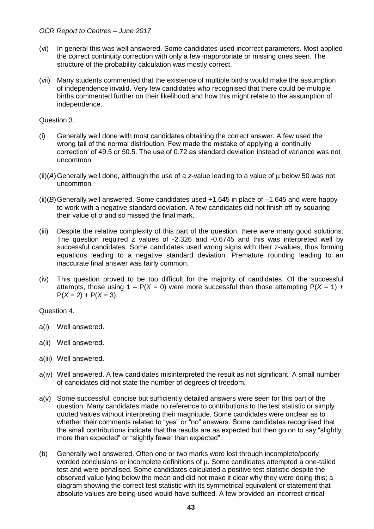- (vi) In general this was well answered. Some candidates used incorrect parameters. Most applied the correct continuity correction with only a few inappropriate or missing ones seen. The structure of the probability calculation was mostly correct.
- (vii) Many students commented that the existence of multiple births would make the assumption of independence invalid. Very few candidates who recognised that there could be multiple births commented further on their likelihood and how this might relate to the assumption of independence.

Question 3.

- (i) Generally well done with most candidates obtaining the correct answer. A few used the wrong tail of the normal distribution. Few made the mistake of applying a 'continuity correction' of 49.5 or 50.5. The use of 0.72 as standard deviation instead of variance was not uncommon.
- (ii)(*A*)Generally well done, although the use of a *z*-value leading to a value of µ below 50 was not uncommon.
- $(ii)(B)$  Generally well answered. Some candidates used  $+1.645$  in place of  $-1.645$  and were happy to work with a negative standard deviation. A few candidates did not finish off by squaring their value of σ and so missed the final mark.
- (iii) Despite the relative complexity of this part of the question, there were many good solutions. The question required z values of -2.326 and -0.6745 and this was interpreted well by successful candidates. Some candidates used wrong signs with their z-values, thus forming equations leading to a negative standard deviation. Premature rounding leading to an inaccurate final answer was fairly common.
- (iv) This question proved to be too difficult for the majority of candidates. Of the successful attempts, those using  $1 - P(X = 0)$  were more successful than those attempting  $P(X = 1) + P(X = 0)$  $P(X = 2) + P(X = 3)$ .

Question 4.

- a(i) Well answered.
- a(ii) Well answered.
- a(iii) Well answered.
- a(iv) Well answered. A few candidates misinterpreted the result as not significant. A small number of candidates did not state the number of degrees of freedom.
- a(v) Some successful, concise but sufficiently detailed answers were seen for this part of the question. Many candidates made no reference to contributions to the test statistic or simply quoted values without interpreting their magnitude. Some candidates were unclear as to whether their comments related to "yes" or "no" answers. Some candidates recognised that the small contributions indicate that the results are as expected but then go on to say "slightly more than expected" or "slightly fewer than expected".
- (b) Generally well answered. Often one or two marks were lost through incomplete/poorly worded conclusions or incomplete definitions of µ. Some candidates attempted a one-tailed test and were penalised. Some candidates calculated a positive test statistic despite the observed value lying below the mean and did not make it clear why they were doing this; a diagram showing the correct test statistic with its symmetrical equivalent or statement that absolute values are being used would have sufficed. A few provided an incorrect critical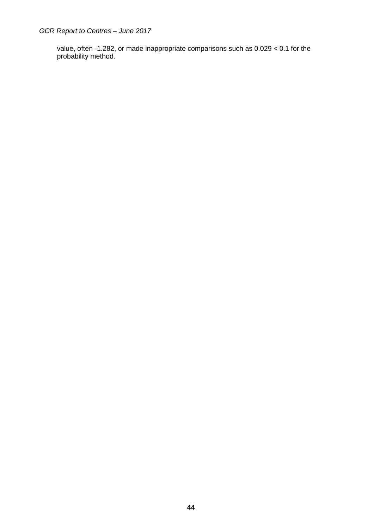value, often -1.282, or made inappropriate comparisons such as 0.029 < 0.1 for the probability method.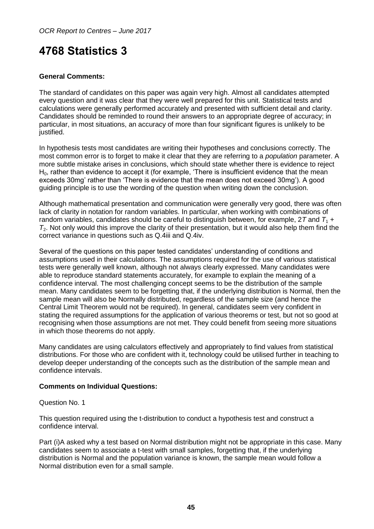## <span id="page-44-0"></span>**4768 Statistics 3**

## **General Comments:**

The standard of candidates on this paper was again very high. Almost all candidates attempted every question and it was clear that they were well prepared for this unit. Statistical tests and calculations were generally performed accurately and presented with sufficient detail and clarity. Candidates should be reminded to round their answers to an appropriate degree of accuracy; in particular, in most situations, an accuracy of more than four significant figures is unlikely to be justified.

In hypothesis tests most candidates are writing their hypotheses and conclusions correctly. The most common error is to forget to make it clear that they are referring to a *population* parameter. A more subtle mistake arises in conclusions, which should state whether there is evidence to reject  $H_0$ , rather than evidence to accept it (for example, 'There is insufficient evidence that the mean exceeds 30mg' rather than 'There is evidence that the mean does not exceed 30mg'). A good guiding principle is to use the wording of the question when writing down the conclusion.

Although mathematical presentation and communication were generally very good, there was often lack of clarity in notation for random variables. In particular, when working with combinations of random variables, candidates should be careful to distinguish between, for example,  $27$  and  $T_1$  + *T*2. Not only would this improve the clarity of their presentation, but it would also help them find the correct variance in questions such as Q.4iii and Q.4iv.

Several of the questions on this paper tested candidates' understanding of conditions and assumptions used in their calculations. The assumptions required for the use of various statistical tests were generally well known, although not always clearly expressed. Many candidates were able to reproduce standard statements accurately, for example to explain the meaning of a confidence interval. The most challenging concept seems to be the distribution of the sample mean. Many candidates seem to be forgetting that, if the underlying distribution is Normal, then the sample mean will also be Normally distributed, regardless of the sample size (and hence the Central Limit Theorem would not be required). In general, candidates seem very confident in stating the required assumptions for the application of various theorems or test, but not so good at recognising when those assumptions are not met. They could benefit from seeing more situations in which those theorems do not apply.

Many candidates are using calculators effectively and appropriately to find values from statistical distributions. For those who are confident with it, technology could be utilised further in teaching to develop deeper understanding of the concepts such as the distribution of the sample mean and confidence intervals.

#### **Comments on Individual Questions:**

Question No. 1

This question required using the t-distribution to conduct a hypothesis test and construct a confidence interval.

Part (i)A asked why a test based on Normal distribution might not be appropriate in this case. Many candidates seem to associate a t-test with small samples, forgetting that, if the underlying distribution is Normal and the population variance is known, the sample mean would follow a Normal distribution even for a small sample.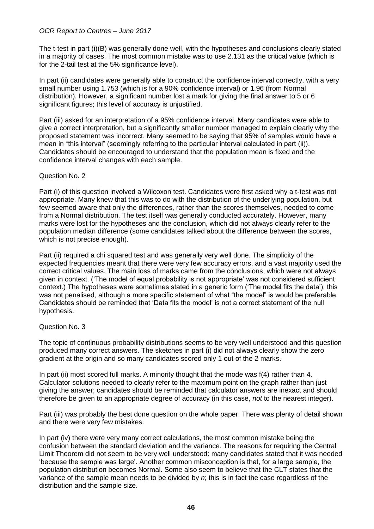The t-test in part (i)(B) was generally done well, with the hypotheses and conclusions clearly stated in a majority of cases. The most common mistake was to use 2.131 as the critical value (which is for the 2-tail test at the 5% significance level).

In part (ii) candidates were generally able to construct the confidence interval correctly, with a very small number using 1.753 (which is for a 90% confidence interval) or 1.96 (from Normal distribution). However, a significant number lost a mark for giving the final answer to 5 or 6 significant figures; this level of accuracy is unjustified.

Part (iii) asked for an interpretation of a 95% confidence interval. Many candidates were able to give a correct interpretation, but a significantly smaller number managed to explain clearly why the proposed statement was incorrect. Many seemed to be saying that 95% of samples would have a mean in "this interval" (seemingly referring to the particular interval calculated in part (ii)). Candidates should be encouraged to understand that the population mean is fixed and the confidence interval changes with each sample.

#### Question No. 2

Part (i) of this question involved a Wilcoxon test. Candidates were first asked why a t-test was not appropriate. Many knew that this was to do with the distribution of the underlying population, but few seemed aware that only the differences, rather than the scores themselves, needed to come from a Normal distribution. The test itself was generally conducted accurately. However, many marks were lost for the hypotheses and the conclusion, which did not always clearly refer to the population median difference (some candidates talked about the difference between the scores, which is not precise enough).

Part (ii) required a chi squared test and was generally very well done. The simplicity of the expected frequencies meant that there were very few accuracy errors, and a vast majority used the correct critical values. The main loss of marks came from the conclusions, which were not always given in context. ('The model of equal probability is not appropriate' was not considered sufficient context.) The hypotheses were sometimes stated in a generic form ('The model fits the data'); this was not penalised, although a more specific statement of what "the model" is would be preferable. Candidates should be reminded that 'Data fits the model' is not a correct statement of the null hypothesis.

#### Question No. 3

The topic of continuous probability distributions seems to be very well understood and this question produced many correct answers. The sketches in part (i) did not always clearly show the zero gradient at the origin and so many candidates scored only 1 out of the 2 marks.

In part (ii) most scored full marks. A minority thought that the mode was f(4) rather than 4. Calculator solutions needed to clearly refer to the maximum point on the graph rather than just giving the answer; candidates should be reminded that calculator answers are inexact and should therefore be given to an appropriate degree of accuracy (in this case, *not* to the nearest integer).

Part (iii) was probably the best done question on the whole paper. There was plenty of detail shown and there were very few mistakes.

In part (iv) there were very many correct calculations, the most common mistake being the confusion between the standard deviation and the variance. The reasons for requiring the Central Limit Theorem did not seem to be very well understood: many candidates stated that it was needed 'because the sample was large'. Another common misconception is that, for a large sample, the population distribution becomes Normal. Some also seem to believe that the CLT states that the variance of the sample mean needs to be divided by *n*; this is in fact the case regardless of the distribution and the sample size.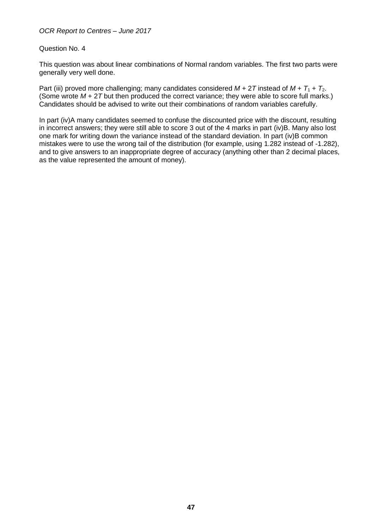#### Question No. 4

This question was about linear combinations of Normal random variables. The first two parts were generally very well done.

Part (iii) proved more challenging; many candidates considered  $M + 2T$  instead of  $M + T_1 + T_2$ . (Some wrote *M* + 2*T* but then produced the correct variance; they were able to score full marks.) Candidates should be advised to write out their combinations of random variables carefully.

In part (iv)A many candidates seemed to confuse the discounted price with the discount, resulting in incorrect answers; they were still able to score 3 out of the 4 marks in part (iv)B. Many also lost one mark for writing down the variance instead of the standard deviation. In part (iv)B common mistakes were to use the wrong tail of the distribution (for example, using 1.282 instead of -1.282), and to give answers to an inappropriate degree of accuracy (anything other than 2 decimal places, as the value represented the amount of money).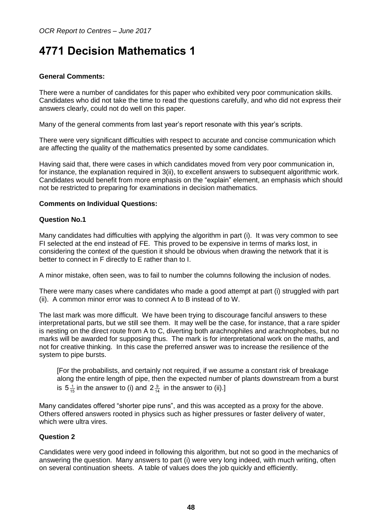## <span id="page-47-0"></span>**4771 Decision Mathematics 1**

### **General Comments:**

There were a number of candidates for this paper who exhibited very poor communication skills. Candidates who did not take the time to read the questions carefully, and who did not express their answers clearly, could not do well on this paper.

Many of the general comments from last year's report resonate with this year's scripts.

There were very significant difficulties with respect to accurate and concise communication which are affecting the quality of the mathematics presented by some candidates.

Having said that, there were cases in which candidates moved from very poor communication in, for instance, the explanation required in 3(ii), to excellent answers to subsequent algorithmic work. Candidates would benefit from more emphasis on the "explain" element, an emphasis which should not be restricted to preparing for examinations in decision mathematics.

#### **Comments on Individual Questions:**

#### **Question No.1**

Many candidates had difficulties with applying the algorithm in part (i). It was very common to see FI selected at the end instead of FE. This proved to be expensive in terms of marks lost, in considering the context of the question it should be obvious when drawing the network that it is better to connect in F directly to E rather than to I.

A minor mistake, often seen, was to fail to number the columns following the inclusion of nodes.

There were many cases where candidates who made a good attempt at part (i) struggled with part (ii). A common minor error was to connect A to B instead of to W.

The last mark was more difficult. We have been trying to discourage fanciful answers to these interpretational parts, but we still see them. It may well be the case, for instance, that a rare spider is nesting on the direct route from A to C, diverting both arachnophiles and arachnophobes, but no marks will be awarded for supposing thus. The mark is for interpretational work on the maths, and not for creative thinking. In this case the preferred answer was to increase the resilience of the system to pipe bursts.

[For the probabilists, and certainly not required, if we assume a constant risk of breakage along the entire length of pipe, then the expected number of plants downstream from a burst is 5 $\frac{1}{15}$  in the answer to (i) and 2 $\frac{9}{14}$  in the answer to (ii).]

Many candidates offered "shorter pipe runs", and this was accepted as a proxy for the above. Others offered answers rooted in physics such as higher pressures or faster delivery of water, which were ultra vires.

#### **Question 2**

Candidates were very good indeed in following this algorithm, but not so good in the mechanics of answering the question. Many answers to part (i) were very long indeed, with much writing, often on several continuation sheets. A table of values does the job quickly and efficiently.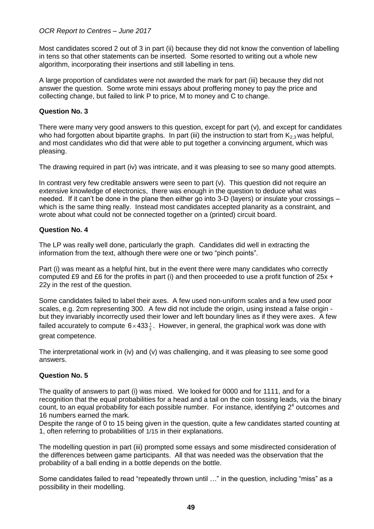Most candidates scored 2 out of 3 in part (ii) because they did not know the convention of labelling in tens so that other statements can be inserted. Some resorted to writing out a whole new algorithm, incorporating their insertions and still labelling in tens.

A large proportion of candidates were not awarded the mark for part (iii) because they did not answer the question. Some wrote mini essays about proffering money to pay the price and collecting change, but failed to link P to price, M to money and C to change.

#### **Question No. 3**

There were many very good answers to this question, except for part (v), and except for candidates who had forgotten about bipartite graphs. In part (iii) the instruction to start from  $K_{2,3}$  was helpful, and most candidates who did that were able to put together a convincing argument, which was pleasing.

The drawing required in part (iv) was intricate, and it was pleasing to see so many good attempts.

In contrast very few creditable answers were seen to part (v). This question did not require an extensive knowledge of electronics, there was enough in the question to deduce what was needed. If it can't be done in the plane then either go into 3-D (layers) or insulate your crossings – which is the same thing really. Instead most candidates accepted planarity as a constraint, and wrote about what could not be connected together on a (printed) circuit board.

#### **Question No. 4**

The LP was really well done, particularly the graph. Candidates did well in extracting the information from the text, although there were one or two "pinch points".

Part (i) was meant as a helpful hint, but in the event there were many candidates who correctly computed £9 and £6 for the profits in part (i) and then proceeded to use a profit function of  $25x +$ 22y in the rest of the question.

Some candidates failed to label their axes. A few used non-uniform scales and a few used poor scales, e.g. 2cm representing 300. A few did not include the origin, using instead a false origin but they invariably incorrectly used their lower and left boundary lines as if they were axes. A few failed accurately to compute 6 $\times$ 433 $\frac{1}{3}.$  However, in general, the graphical work was done with great competence.

The interpretational work in (iv) and (v) was challenging, and it was pleasing to see some good answers.

#### **Question No. 5**

The quality of answers to part (i) was mixed. We looked for 0000 and for 1111, and for a recognition that the equal probabilities for a head and a tail on the coin tossing leads, via the binary count, to an equal probability for each possible number. For instance, identifying  $2<sup>4</sup>$  outcomes and 16 numbers earned the mark.

Despite the range of 0 to 15 being given in the question, quite a few candidates started counting at 1, often referring to probabilities of 1/15 in their explanations.

The modelling question in part (iii) prompted some essays and some misdirected consideration of the differences between game participants. All that was needed was the observation that the probability of a ball ending in a bottle depends on the bottle.

Some candidates failed to read "repeatedly thrown until …" in the question, including "miss" as a possibility in their modelling.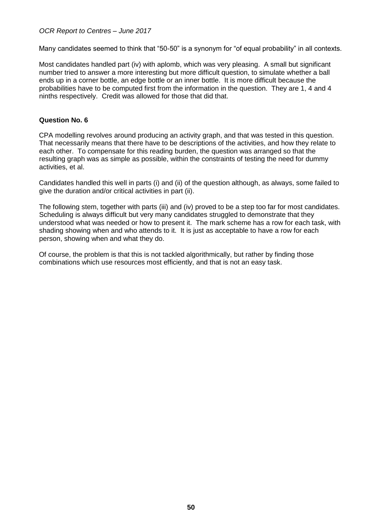Many candidates seemed to think that "50-50" is a synonym for "of equal probability" in all contexts.

Most candidates handled part (iv) with aplomb, which was very pleasing. A small but significant number tried to answer a more interesting but more difficult question, to simulate whether a ball ends up in a corner bottle, an edge bottle or an inner bottle. It is more difficult because the probabilities have to be computed first from the information in the question. They are 1, 4 and 4 ninths respectively. Credit was allowed for those that did that.

#### **Question No. 6**

CPA modelling revolves around producing an activity graph, and that was tested in this question. That necessarily means that there have to be descriptions of the activities, and how they relate to each other. To compensate for this reading burden, the question was arranged so that the resulting graph was as simple as possible, within the constraints of testing the need for dummy activities, et al.

Candidates handled this well in parts (i) and (ii) of the question although, as always, some failed to give the duration and/or critical activities in part (ii).

The following stem, together with parts (iii) and (iv) proved to be a step too far for most candidates. Scheduling is always difficult but very many candidates struggled to demonstrate that they understood what was needed or how to present it. The mark scheme has a row for each task, with shading showing when and who attends to it. It is just as acceptable to have a row for each person, showing when and what they do.

Of course, the problem is that this is not tackled algorithmically, but rather by finding those combinations which use resources most efficiently, and that is not an easy task.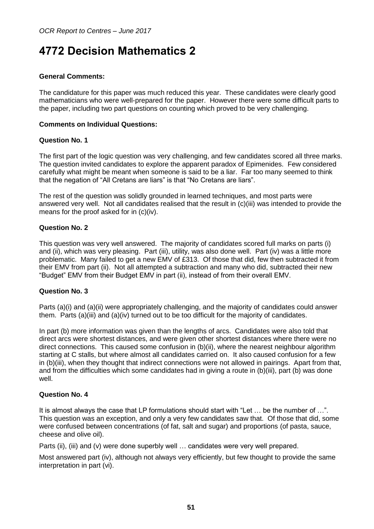## <span id="page-50-0"></span>**4772 Decision Mathematics 2**

### **General Comments:**

The candidature for this paper was much reduced this year. These candidates were clearly good mathematicians who were well-prepared for the paper. However there were some difficult parts to the paper, including two part questions on counting which proved to be very challenging.

#### **Comments on Individual Questions:**

#### **Question No. 1**

The first part of the logic question was very challenging, and few candidates scored all three marks. The question invited candidates to explore the apparent paradox of Epimenides. Few considered carefully what might be meant when someone is said to be a liar. Far too many seemed to think that the negation of "All Cretans are liars" is that "No Cretans are liars".

The rest of the question was solidly grounded in learned techniques, and most parts were answered very well. Not all candidates realised that the result in (c)(iii) was intended to provide the means for the proof asked for in (c)(iv).

## **Question No. 2**

This question was very well answered. The majority of candidates scored full marks on parts (i) and (ii), which was very pleasing. Part (iii), utility, was also done well. Part (iv) was a little more problematic. Many failed to get a new EMV of £313. Of those that did, few then subtracted it from their EMV from part (ii). Not all attempted a subtraction and many who did, subtracted their new "Budget" EMV from their Budget EMV in part (ii), instead of from their overall EMV.

#### **Question No. 3**

Parts (a)(i) and (a)(ii) were appropriately challenging, and the majority of candidates could answer them. Parts (a)(iii) and (a)(iv) turned out to be too difficult for the majority of candidates.

In part (b) more information was given than the lengths of arcs. Candidates were also told that direct arcs were shortest distances, and were given other shortest distances where there were no direct connections. This caused some confusion in (b)(ii), where the nearest neighbour algorithm starting at C stalls, but where almost all candidates carried on. It also caused confusion for a few in (b)(iii), when they thought that indirect connections were not allowed in pairings. Apart from that, and from the difficulties which some candidates had in giving a route in (b)(iii), part (b) was done well.

## **Question No. 4**

It is almost always the case that LP formulations should start with "Let … be the number of …". This question was an exception, and only a very few candidates saw that. Of those that did, some were confused between concentrations (of fat, salt and sugar) and proportions (of pasta, sauce, cheese and olive oil).

Parts (ii), (iii) and (v) were done superbly well … candidates were very well prepared.

Most answered part (iv), although not always very efficiently, but few thought to provide the same interpretation in part (vi).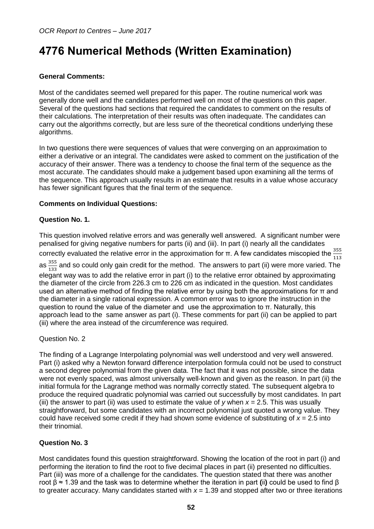## <span id="page-51-0"></span>**4776 Numerical Methods (Written Examination)**

## **General Comments:**

Most of the candidates seemed well prepared for this paper. The routine numerical work was generally done well and the candidates performed well on most of the questions on this paper. Several of the questions had sections that required the candidates to comment on the results of their calculations. The interpretation of their results was often inadequate. The candidates can carry out the algorithms correctly, but are less sure of the theoretical conditions underlying these algorithms.

In two questions there were sequences of values that were converging on an approximation to either a derivative or an integral. The candidates were asked to comment on the justification of the accuracy of their answer. There was a tendency to choose the final term of the sequence as the most accurate. The candidates should make a judgement based upon examining all the terms of the sequence. This approach usually results in an estimate that results in a value whose accuracy has fewer significant figures that the final term of the sequence.

#### **Comments on Individual Questions:**

#### **Question No. 1.**

This question involved relative errors and was generally well answered. A significant number were penalised for giving negative numbers for parts (ii) and (iii). In part (i) nearly all the candidates correctly evaluated the relative error in the approximation for π. A few candidates miscopied the  $\frac{355}{113}$ as  $\frac{355}{133}$  $\frac{333}{133}$  and so could only gain credit for the method. The answers to part (ii) were more varied. The elegant way was to add the relative error in part (i) to the relative error obtained by approximating the diameter of the circle from 226.3 cm to 226 cm as indicated in the question. Most candidates used an alternative method of finding the relative error by using both the approximations for  $\pi$  and the diameter in a single rational expression. A common error was to ignore the instruction in the

question to round the value of the diameter and use the approximation to π. Naturally, this approach lead to the same answer as part (i). These comments for part (ii) can be applied to part (iii) where the area instead of the circumference was required.

#### Question No. 2

The finding of a Lagrange Interpolating polynomial was well understood and very well answered. Part (i) asked why a Newton forward difference interpolation formula could not be used to construct a second degree polynomial from the given data. The fact that it was not possible, since the data were not evenly spaced, was almost universally well-known and given as the reason. In part (ii) the initial formula for the Lagrange method was normally correctly stated. The subsequent algebra to produce the required quadratic polynomial was carried out successfully by most candidates. In part (iii) the answer to part (ii) was used to estimate the value of *y* when *x* = 2.5. This was usually straightforward, but some candidates with an incorrect polynomial just quoted a wrong value. They could have received some credit if they had shown some evidence of substituting of *x* = 2.5 into their trinomial.

## **Question No. 3**

Most candidates found this question straightforward. Showing the location of the root in part (i) and performing the iteration to find the root to five decimal places in part (ii) presented no difficulties. Part (iii) was more of a challenge for the candidates. The question stated that there was another root β ≈ 1.39 and the task was to determine whether the iteration in part **(**ii**)** could be used to find β to greater accuracy. Many candidates started with  $x = 1.39$  and stopped after two or three iterations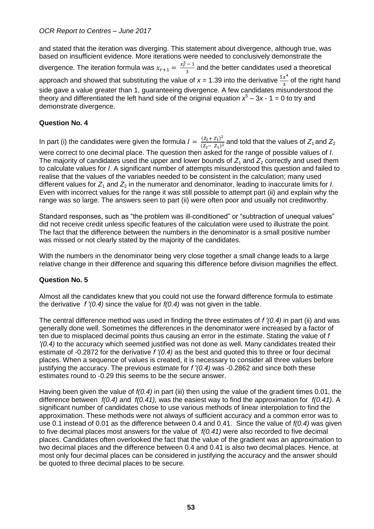and stated that the iteration was diverging. This statement about divergence, although true, was based on insufficient evidence. More iterations were needed to conclusively demonstrate the divergence. The iteration formula was  $x_{r+1} = \frac{x_r^5 - 1}{3}$  $\frac{1}{3}$  and the better candidates used a theoretical approach and showed that substituting the value of  $x = 1.39$  into the derivative  $\frac{5x^4}{2}$  $\frac{\pi}{3}$  of the right hand side gave a value greater than 1, guaranteeing divergence. A few candidates misunderstood the theory and differentiated the left hand side of the original equation  $x^5 - 3x - 1 = 0$  to try and demonstrate divergence.

## **Question No. 4**

In part (i) the candidates were given the formula  $I = \frac{(Z_2 + Z_1)^2}{(Z_2 - Z_1)^2}$  $\frac{(22+21)}{(z_2-z_1)^2}$  and told that the values of  $Z_1$  and  $Z_2$ were correct to one decimal place. The question then asked for the range of possible values of *I*. The majority of candidates used the upper and lower bounds of  $Z_1$  and  $Z_2$  correctly and used them to calculate values for *I*. A significant number of attempts misunderstood this question and failed to realise that the values of the variables needed to be consistent in the calculation; many used different values for  $Z_1$  and  $Z_2$  in the numerator and denominator, leading to inaccurate limits for *I*. Even with incorrect values for the range it was still possible to attempt part (ii) and explain why the range was so large. The answers seen to part (ii) were often poor and usually not creditworthy.

Standard responses, such as "the problem was ill-conditioned" or "subtraction of unequal values" did not receive credit unless specific features of the calculation were used to illustrate the point. The fact that the difference between the numbers in the denominator is a small positive number was missed or not clearly stated by the majority of the candidates.

With the numbers in the denominator being very close together a small change leads to a large relative change in their difference and squaring this difference before division magnifies the effect.

## **Question No. 5**

Almost all the candidates knew that you could not use the forward difference formula to estimate the derivative *f ′(0.4)* since the value for *f(0.4)* was not given in the table.

The central difference method was used in finding the three estimates of *f ′(0.4)* in part (ii) and was generally done well. Sometimes the differences in the denominator were increased by a factor of ten due to misplaced decimal points thus causing an error in the estimate. Stating the value of *f ′(0.4)* to the accuracy which seemed justified was not done as well. Many candidates treated their estimate of -0.2872 for the derivative *f ′(0.4)* as the best and quoted this to three or four decimal places. When a sequence of values is created, it is necessary to consider all three values before justifying the accuracy. The previous estimate for *f ′(0.4)* was -0.2862 and since both these estimates round to -0.29 this seems to be the secure answer.

Having been given the value of *f(0.4)* in part (iii) then using the value of the gradient times 0.01, the difference between *f(0.4)* and *f(0.41),* was the easiest way to find the approximation for *f(0.41)*. A significant number of candidates chose to use various methods of linear interpolation to find the approximation. These methods were not always of sufficient accuracy and a common error was to use 0.1 instead of 0.01 as the difference between 0.4 and 0.41. Since the value of *f(0.4)* was given to five decimal places most answers for the value of *f(0.41)* were also recorded to five decimal places. Candidates often overlooked the fact that the value of the gradient was an approximation to two decimal places and the difference between 0.4 and 0.41 is also two decimal places. Hence, at most only four decimal places can be considered in justifying the accuracy and the answer should be quoted to three decimal places to be secure.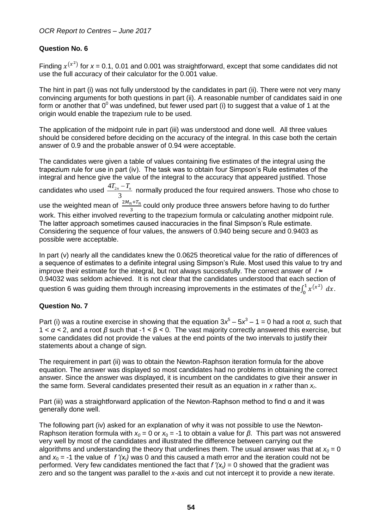## **Question No. 6**

Finding  $x^{(x^2)}$  for  $x = 0.1$ , 0.01 and 0.001 was straightforward, except that some candidates did not use the full accuracy of their calculator for the 0.001 value.

The hint in part (i) was not fully understood by the candidates in part (ii). There were not very many convincing arguments for both questions in part (ii). A reasonable number of candidates said in one form or another that  $0^0$  was undefined, but fewer used part (i) to suggest that a value of 1 at the origin would enable the trapezium rule to be used.

The application of the midpoint rule in part (iii) was understood and done well. All three values should be considered before deciding on the accuracy of the integral. In this case both the certain answer of 0.9 and the probable answer of 0.94 were acceptable.

The candidates were given a table of values containing five estimates of the integral using the trapezium rule for use in part (iv). The task was to obtain four Simpson's Rule estimates of the integral and hence give the value of the integral to the accuracy that appeared justified. Those candidates who used  $\frac{4T_2}{4T_3}$ 3  $\frac{T_{2n}-T_n}{2}$  normally produced the four required answers. Those who chose to use the weighted mean of  $\frac{2M_n+T_n}{3}$  could only produce three answers before having to do further work. This either involved reverting to the trapezium formula or calculating another midpoint rule. The latter approach sometimes caused inaccuracies in the final Simpson's Rule estimate. Considering the sequence of four values, the answers of 0.940 being secure and 0.9403 as possible were acceptable.

In part (v) nearly all the candidates knew the 0.0625 theoretical value for the ratio of differences of a sequence of estimates to a definite integral using Simpson's Rule. Most used this value to try and improve their estimate for the integral, but not always successfully. The correct answer of *I* ≈ 0.94032 was seldom achieved. It is not clear that the candidates understood that each section of question 6 was guiding them through increasing improvements in the estimates of the $\int_0^1 x^{(x^2)}$  $\int_0^1 x^{(x^2)} dx$ .

## **Question No. 7**

Part (i) was a routine exercise in showing that the equation  $3x^5 - 5x^3 - 1 = 0$  had a root *α*, such that 1 < *α <* 2, and a root *β* such that -1 < β < 0. The vast majority correctly answered this exercise, but some candidates did not provide the values at the end points of the two intervals to justify their statements about a change of sign.

The requirement in part (ii) was to obtain the Newton-Raphson iteration formula for the above equation. The answer was displayed so most candidates had no problems in obtaining the correct answer. Since the answer was displayed, it is incumbent on the candidates to give their answer in the same form. Several candidates presented their result as an equation in *x* rather than *x<sup>r</sup>* .

Part (iii) was a straightforward application of the Newton-Raphson method to find  $\alpha$  and it was generally done well.

The following part (iv) asked for an explanation of why it was not possible to use the Newton-Raphson iteration formula with *x<sup>0</sup>* = 0 or *x*<sup>0</sup> = -1 to obtain a value for *β*. This part was not answered very well by most of the candidates and illustrated the difference between carrying out the algorithms and understanding the theory that underlines them. The usual answer was that at  $x_0 = 0$ and  $x_0 = -1$  the value of  $f'(x)$  was 0 and this caused a math error and the iteration could not be performed. Very few candidates mentioned the fact that *f ′(xr)* = 0 showed that the gradient was zero and so the tangent was parallel to the *x*-axis and cut not intercept it to provide a new iterate.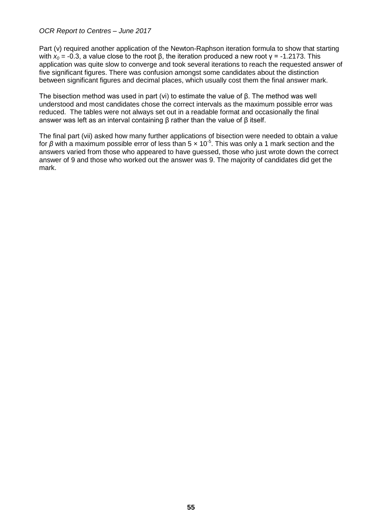Part (v) required another application of the Newton-Raphson iteration formula to show that starting with  $x_0$  = -0.3, a value close to the root β, the iteration produced a new root  $γ = -1.2173$ . This application was quite slow to converge and took several iterations to reach the requested answer of five significant figures. There was confusion amongst some candidates about the distinction between significant figures and decimal places, which usually cost them the final answer mark.

The bisection method was used in part (vi) to estimate the value of  $β$ . The method was well understood and most candidates chose the correct intervals as the maximum possible error was reduced. The tables were not always set out in a readable format and occasionally the final answer was left as an interval containing β rather than the value of β itself.

The final part (vii) asked how many further applications of bisection were needed to obtain a value for β with a maximum possible error of less than 5 x 10<sup>-5</sup>. This was only a 1 mark section and the answers varied from those who appeared to have guessed, those who just wrote down the correct answer of 9 and those who worked out the answer was 9. The majority of candidates did get the mark.